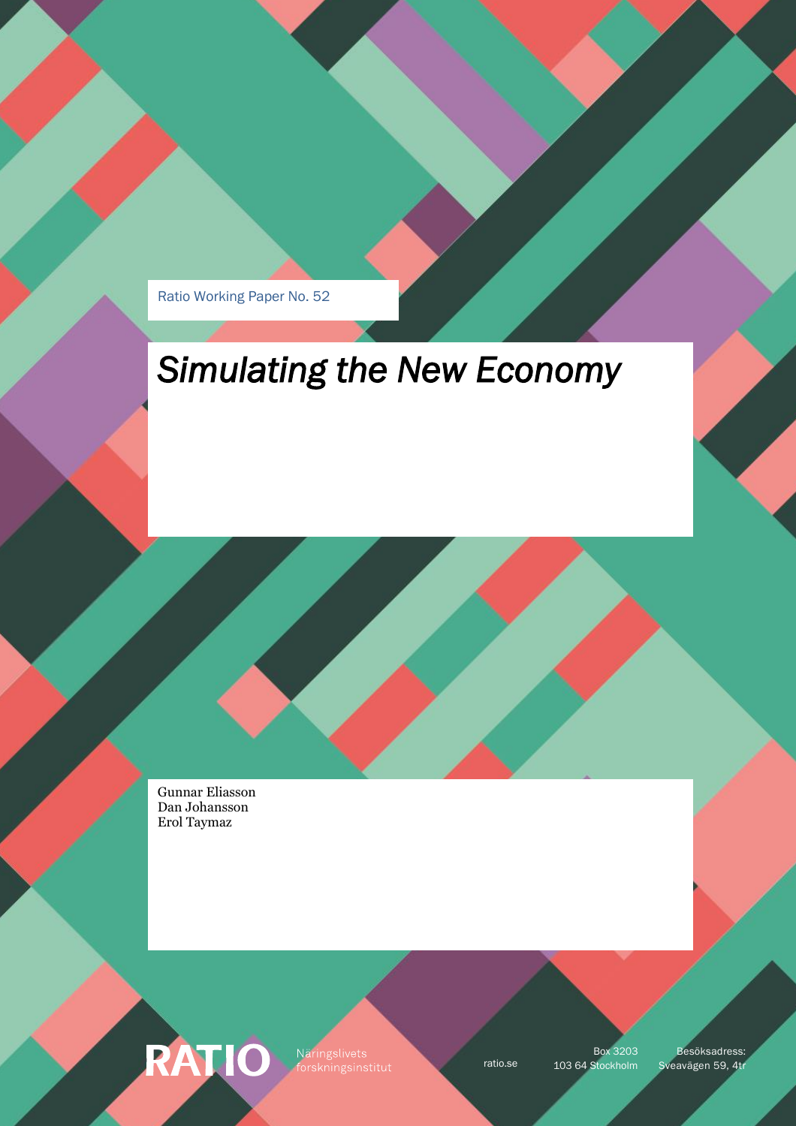Ratio Working Paper No. 52

# *Simulating the New Economy*

Gunnar Eliasson Dan Johansson Erol Taymaz

RATIO

Näringslivets orskningsinstitut

Box 3203

ratio.se 103 64 Stockholm Sveavägen 59, 4tr Besöksadress: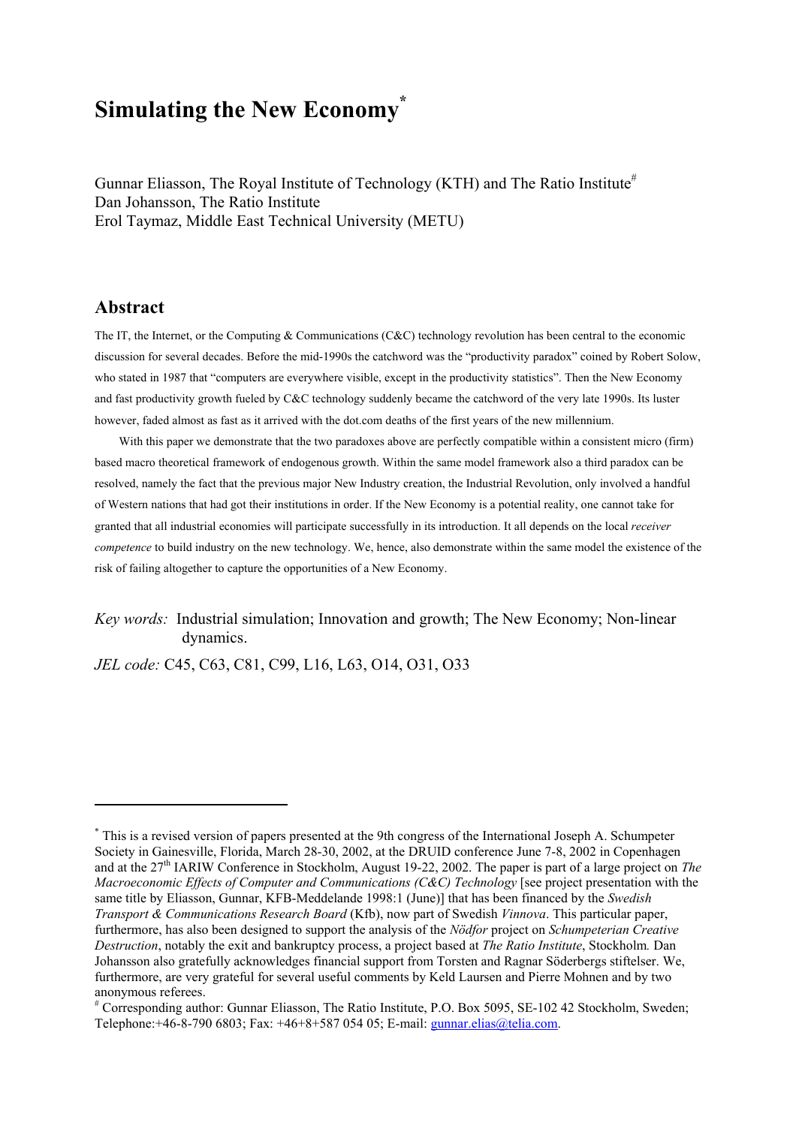# **Simulating the New Econom[y\\*](#page-1-0)**

Gunnar Eliasson, The Royal Institute of Technology (KTH) and The Ratio Institute<sup>#</sup> Dan Johansson, The Ratio Institute Erol Taymaz, Middle East Technical University (METU)

## **Abstract**

 $\overline{a}$ 

The IT, the Internet, or the Computing & Communications (C&C) technology revolution has been central to the economic discussion for several decades. Before the mid-1990s the catchword was the "productivity paradox" coined by Robert Solow, who stated in 1987 that "computers are everywhere visible, except in the productivity statistics". Then the New Economy and fast productivity growth fueled by C&C technology suddenly became the catchword of the very late 1990s. Its luster however, faded almost as fast as it arrived with the dot.com deaths of the first years of the new millennium.

With this paper we demonstrate that the two paradoxes above are perfectly compatible within a consistent micro (firm) based macro theoretical framework of endogenous growth. Within the same model framework also a third paradox can be resolved, namely the fact that the previous major New Industry creation, the Industrial Revolution, only involved a handful of Western nations that had got their institutions in order. If the New Economy is a potential reality, one cannot take for granted that all industrial economies will participate successfully in its introduction. It all depends on the local *receiver competence* to build industry on the new technology. We, hence, also demonstrate within the same model the existence of the risk of failing altogether to capture the opportunities of a New Economy.

*Key words:* Industrial simulation; Innovation and growth; The New Economy; Non-linear dynamics.

*JEL code:* C45, C63, C81, C99, L16, L63, O14, O31, O33

<span id="page-1-0"></span><sup>\*</sup> This is a revised version of papers presented at the 9th congress of the International Joseph A. Schumpeter Society in Gainesville, Florida, March 28-30, 2002, at the DRUID conference June 7-8, 2002 in Copenhagen and at the 27th IARIW Conference in Stockholm, August 19-22, 2002. The paper is part of a large project on *The Macroeconomic Effects of Computer and Communications (C&C) Technology* [see project presentation with the same title by Eliasson, Gunnar, KFB-Meddelande 1998:1 (June)] that has been financed by the *Swedish Transport & Communications Research Board* (Kfb), now part of Swedish *Vinnova*. This particular paper, furthermore, has also been designed to support the analysis of the *Nödfor* project on *Schumpeterian Creative Destruction*, notably the exit and bankruptcy process, a project based at *The Ratio Institute*, Stockholm*.* Dan Johansson also gratefully acknowledges financial support from Torsten and Ragnar Söderbergs stiftelser. We, furthermore, are very grateful for several useful comments by Keld Laursen and Pierre Mohnen and by two anonymous referees.

<span id="page-1-1"></span><sup>#</sup> Corresponding author: Gunnar Eliasson, The Ratio Institute, P.O. Box 5095, SE-102 42 Stockholm, Sweden; Telephone:+46-8-790 6803; Fax: +46+8+587 054 05; E-mail: [gunnar.elias@telia.com.](mailto:gunnar.elias@telia.com)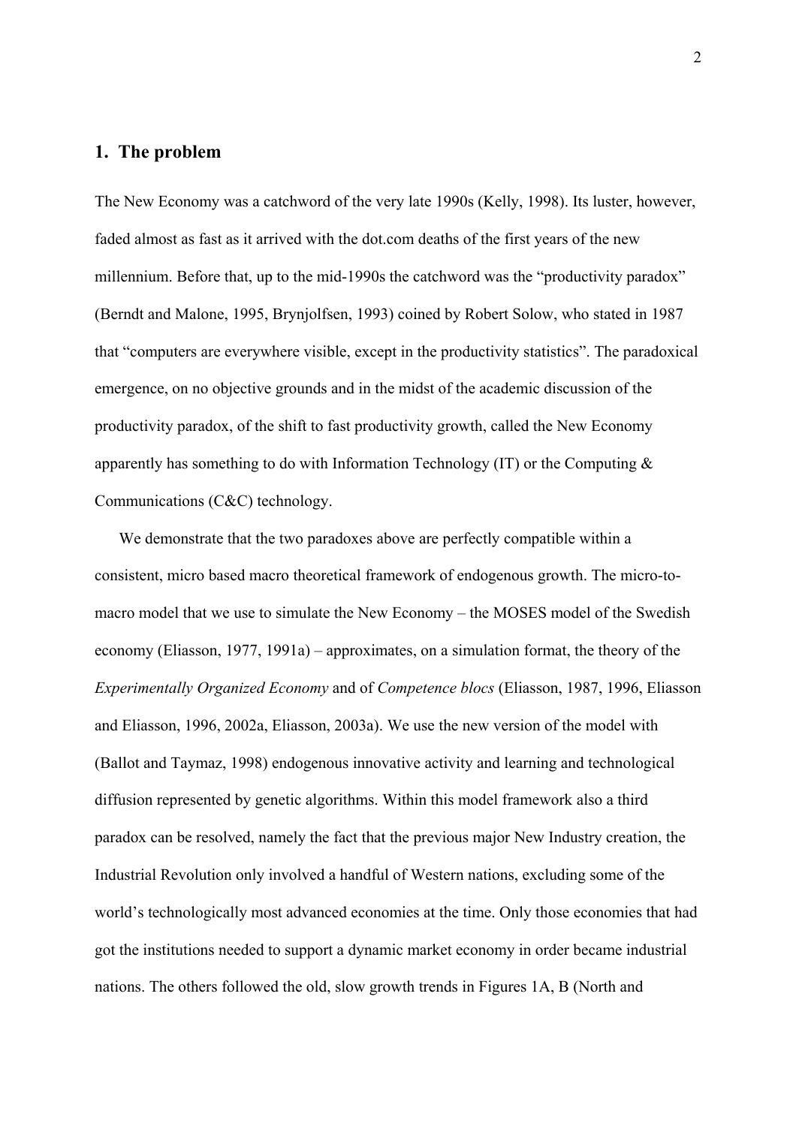### **1. The problem**

The New Economy was a catchword of the very late 1990s (Kelly, 1998). Its luster, however, faded almost as fast as it arrived with the dot.com deaths of the first years of the new millennium. Before that, up to the mid-1990s the catchword was the "productivity paradox" (Berndt and Malone, 1995, Brynjolfsen, 1993) coined by Robert Solow, who stated in 1987 that "computers are everywhere visible, except in the productivity statistics". The paradoxical emergence, on no objective grounds and in the midst of the academic discussion of the productivity paradox, of the shift to fast productivity growth, called the New Economy apparently has something to do with Information Technology (IT) or the Computing & Communications (C&C) technology.

 We demonstrate that the two paradoxes above are perfectly compatible within a consistent, micro based macro theoretical framework of endogenous growth. The micro-tomacro model that we use to simulate the New Economy – the MOSES model of the Swedish economy (Eliasson, 1977, 1991a) – approximates, on a simulation format, the theory of the *Experimentally Organized Economy* and of *Competence blocs* (Eliasson, 1987, 1996, Eliasson and Eliasson, 1996, 2002a, Eliasson, 2003a). We use the new version of the model with (Ballot and Taymaz, 1998) endogenous innovative activity and learning and technological diffusion represented by genetic algorithms. Within this model framework also a third paradox can be resolved, namely the fact that the previous major New Industry creation, the Industrial Revolution only involved a handful of Western nations, excluding some of the world's technologically most advanced economies at the time. Only those economies that had got the institutions needed to support a dynamic market economy in order became industrial nations. The others followed the old, slow growth trends in Figures 1A, B (North and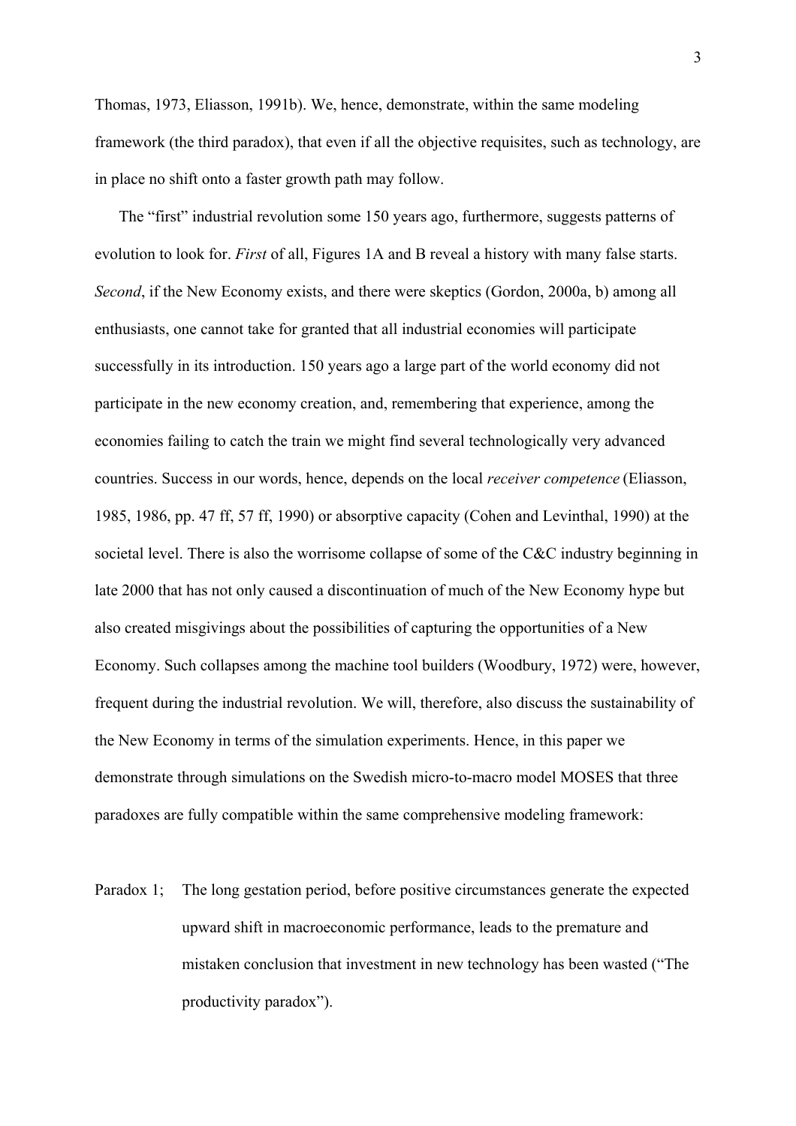Thomas, 1973, Eliasson, 1991b). We, hence, demonstrate, within the same modeling framework (the third paradox), that even if all the objective requisites, such as technology, are in place no shift onto a faster growth path may follow.

 The "first" industrial revolution some 150 years ago, furthermore, suggests patterns of evolution to look for. *First* of all, Figures 1A and B reveal a history with many false starts. *Second*, if the New Economy exists, and there were skeptics (Gordon, 2000a, b) among all enthusiasts, one cannot take for granted that all industrial economies will participate successfully in its introduction. 150 years ago a large part of the world economy did not participate in the new economy creation, and, remembering that experience, among the economies failing to catch the train we might find several technologically very advanced countries. Success in our words, hence, depends on the local *receiver competence* (Eliasson, 1985, 1986, pp. 47 ff, 57 ff, 1990) or absorptive capacity (Cohen and Levinthal, 1990) at the societal level. There is also the worrisome collapse of some of the C&C industry beginning in late 2000 that has not only caused a discontinuation of much of the New Economy hype but also created misgivings about the possibilities of capturing the opportunities of a New Economy. Such collapses among the machine tool builders (Woodbury, 1972) were, however, frequent during the industrial revolution. We will, therefore, also discuss the sustainability of the New Economy in terms of the simulation experiments. Hence, in this paper we demonstrate through simulations on the Swedish micro-to-macro model MOSES that three paradoxes are fully compatible within the same comprehensive modeling framework:

Paradox 1; The long gestation period, before positive circumstances generate the expected upward shift in macroeconomic performance, leads to the premature and mistaken conclusion that investment in new technology has been wasted ("The productivity paradox").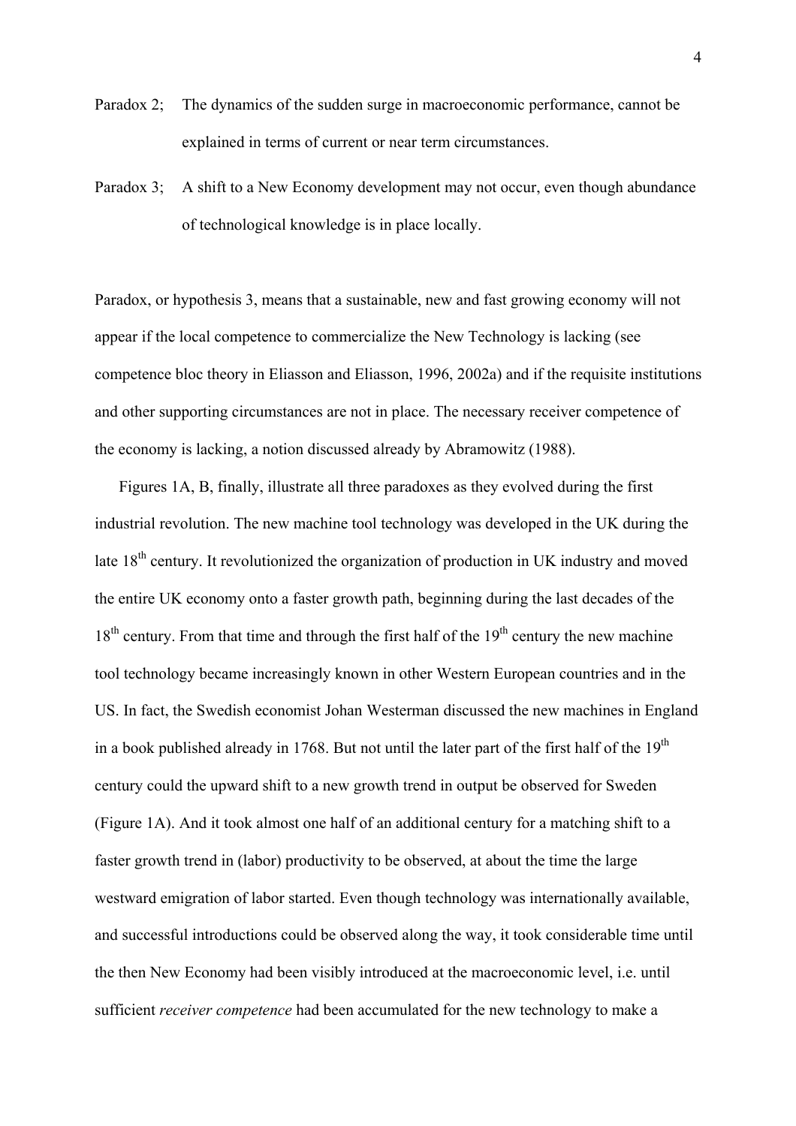- Paradox 2; The dynamics of the sudden surge in macroeconomic performance, cannot be explained in terms of current or near term circumstances.
- Paradox 3; A shift to a New Economy development may not occur, even though abundance of technological knowledge is in place locally.

Paradox, or hypothesis 3, means that a sustainable, new and fast growing economy will not appear if the local competence to commercialize the New Technology is lacking (see competence bloc theory in Eliasson and Eliasson, 1996, 2002a) and if the requisite institutions and other supporting circumstances are not in place. The necessary receiver competence of the economy is lacking, a notion discussed already by Abramowitz (1988).

 Figures 1A, B, finally, illustrate all three paradoxes as they evolved during the first industrial revolution. The new machine tool technology was developed in the UK during the late  $18<sup>th</sup>$  century. It revolutionized the organization of production in UK industry and moved the entire UK economy onto a faster growth path, beginning during the last decades of the  $18<sup>th</sup>$  century. From that time and through the first half of the  $19<sup>th</sup>$  century the new machine tool technology became increasingly known in other Western European countries and in the US. In fact, the Swedish economist Johan Westerman discussed the new machines in England in a book published already in 1768. But not until the later part of the first half of the  $19<sup>th</sup>$ century could the upward shift to a new growth trend in output be observed for Sweden (Figure 1A). And it took almost one half of an additional century for a matching shift to a faster growth trend in (labor) productivity to be observed, at about the time the large westward emigration of labor started. Even though technology was internationally available, and successful introductions could be observed along the way, it took considerable time until the then New Economy had been visibly introduced at the macroeconomic level, i.e. until sufficient *receiver competence* had been accumulated for the new technology to make a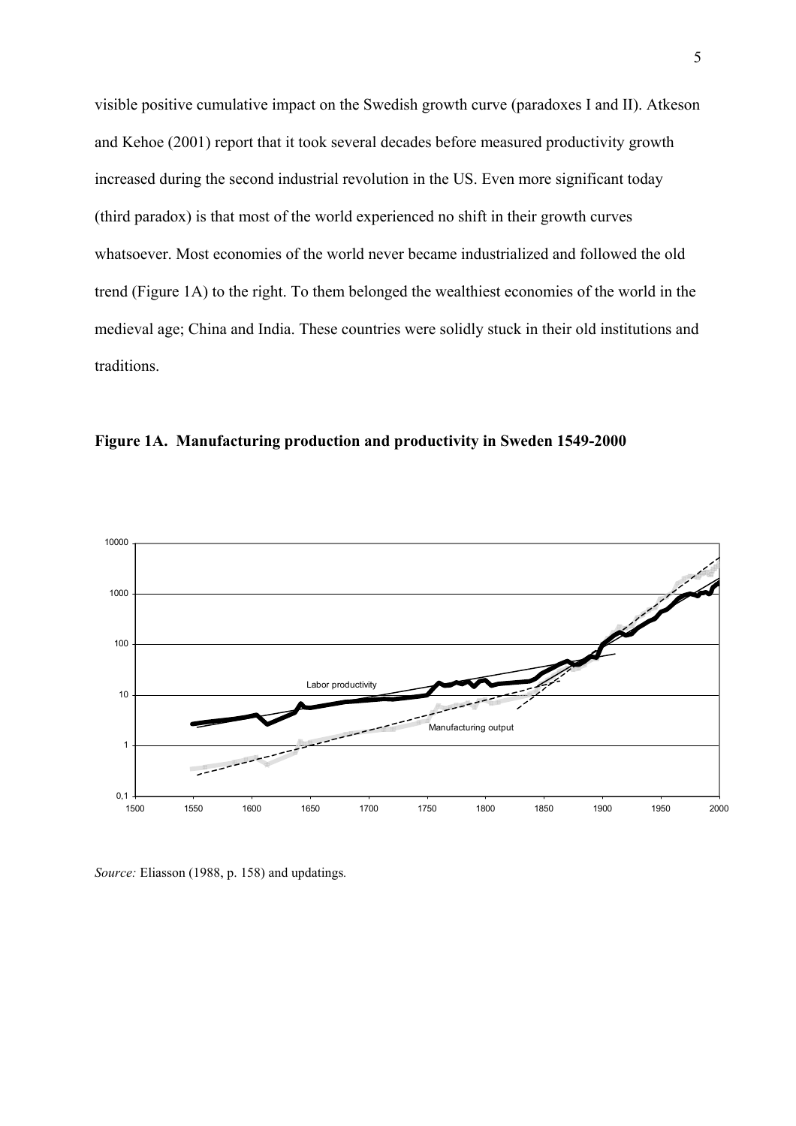visible positive cumulative impact on the Swedish growth curve (paradoxes I and II). Atkeson and Kehoe (2001) report that it took several decades before measured productivity growth increased during the second industrial revolution in the US. Even more significant today (third paradox) is that most of the world experienced no shift in their growth curves whatsoever. Most economies of the world never became industrialized and followed the old trend (Figure 1A) to the right. To them belonged the wealthiest economies of the world in the medieval age; China and India. These countries were solidly stuck in their old institutions and traditions.





*Source:* Eliasson (1988, p. 158) and updatings*.*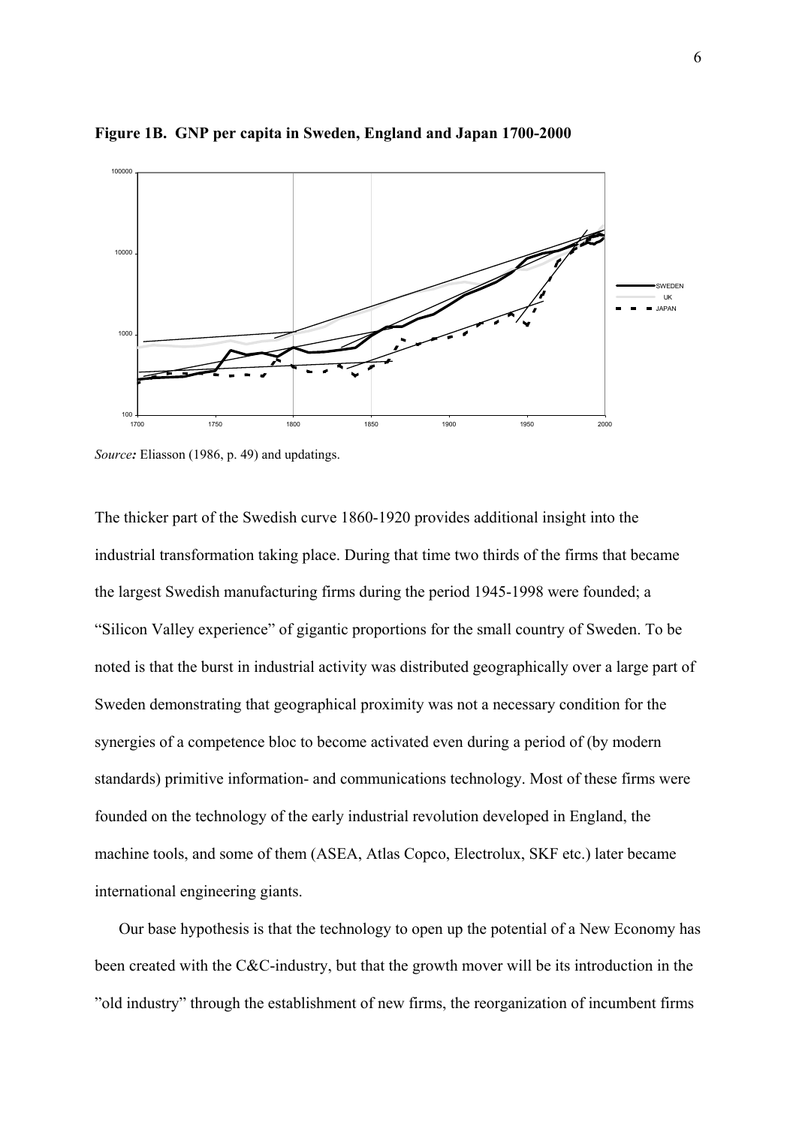

**Figure 1B. GNP per capita in Sweden, England and Japan 1700-2000** 

*Source:* Eliasson (1986, p. 49) and updatings.

The thicker part of the Swedish curve 1860-1920 provides additional insight into the industrial transformation taking place. During that time two thirds of the firms that became the largest Swedish manufacturing firms during the period 1945-1998 were founded; a "Silicon Valley experience" of gigantic proportions for the small country of Sweden. To be noted is that the burst in industrial activity was distributed geographically over a large part of Sweden demonstrating that geographical proximity was not a necessary condition for the synergies of a competence bloc to become activated even during a period of (by modern standards) primitive information- and communications technology. Most of these firms were founded on the technology of the early industrial revolution developed in England, the machine tools, and some of them (ASEA, Atlas Copco, Electrolux, SKF etc.) later became international engineering giants.

Our base hypothesis is that the technology to open up the potential of a New Economy has been created with the C&C-industry, but that the growth mover will be its introduction in the "old industry" through the establishment of new firms, the reorganization of incumbent firms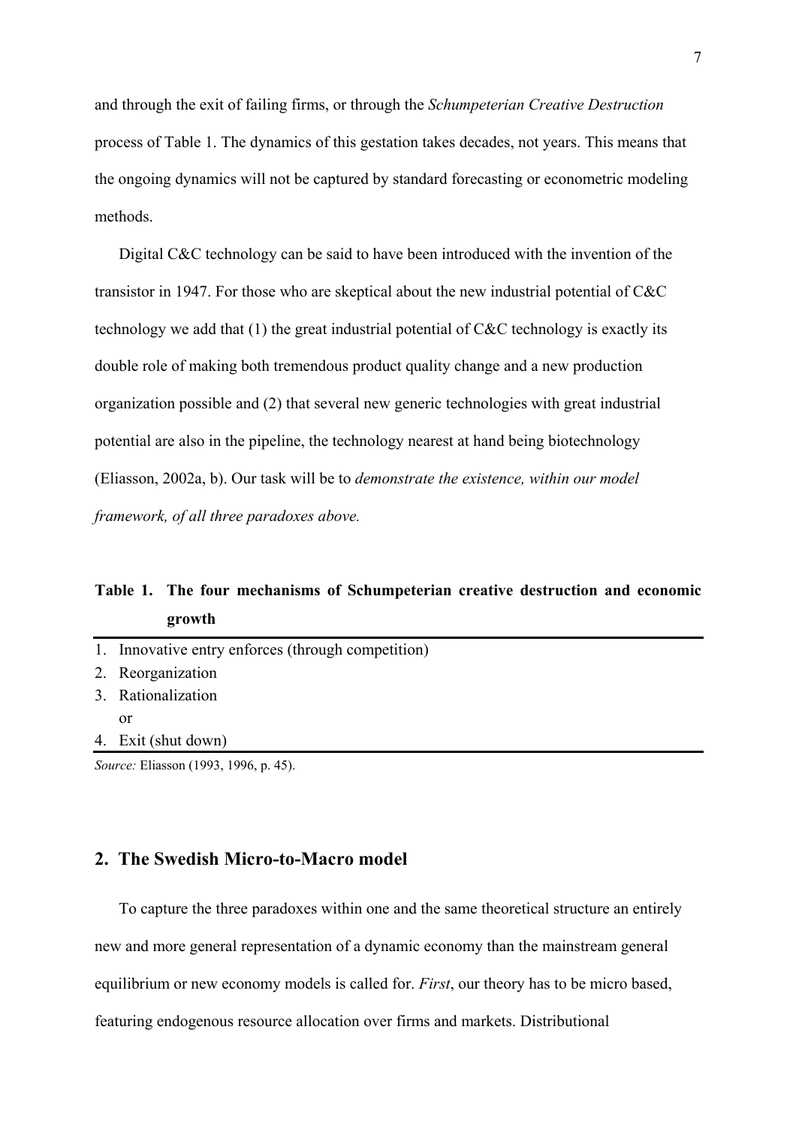and through the exit of failing firms, or through the *Schumpeterian Creative Destruction* process of Table 1. The dynamics of this gestation takes decades, not years. This means that the ongoing dynamics will not be captured by standard forecasting or econometric modeling methods.

 Digital C&C technology can be said to have been introduced with the invention of the transistor in 1947. For those who are skeptical about the new industrial potential of C&C technology we add that (1) the great industrial potential of C&C technology is exactly its double role of making both tremendous product quality change and a new production organization possible and (2) that several new generic technologies with great industrial potential are also in the pipeline, the technology nearest at hand being biotechnology (Eliasson, 2002a, b). Our task will be to *demonstrate the existence, within our model framework, of all three paradoxes above.* 

# **Table 1. The four mechanisms of Schumpeterian creative destruction and economic growth**

| 1. Innovative entry enforces (through competition) |
|----------------------------------------------------|
| 2. Reorganization                                  |
| 3. Rationalization                                 |
| or                                                 |
| 4. Exit (shut down)                                |

*Source:* Eliasson (1993, 1996, p. 45).

# **2. The Swedish Micro-to-Macro model**

 To capture the three paradoxes within one and the same theoretical structure an entirely new and more general representation of a dynamic economy than the mainstream general equilibrium or new economy models is called for. *First*, our theory has to be micro based, featuring endogenous resource allocation over firms and markets. Distributional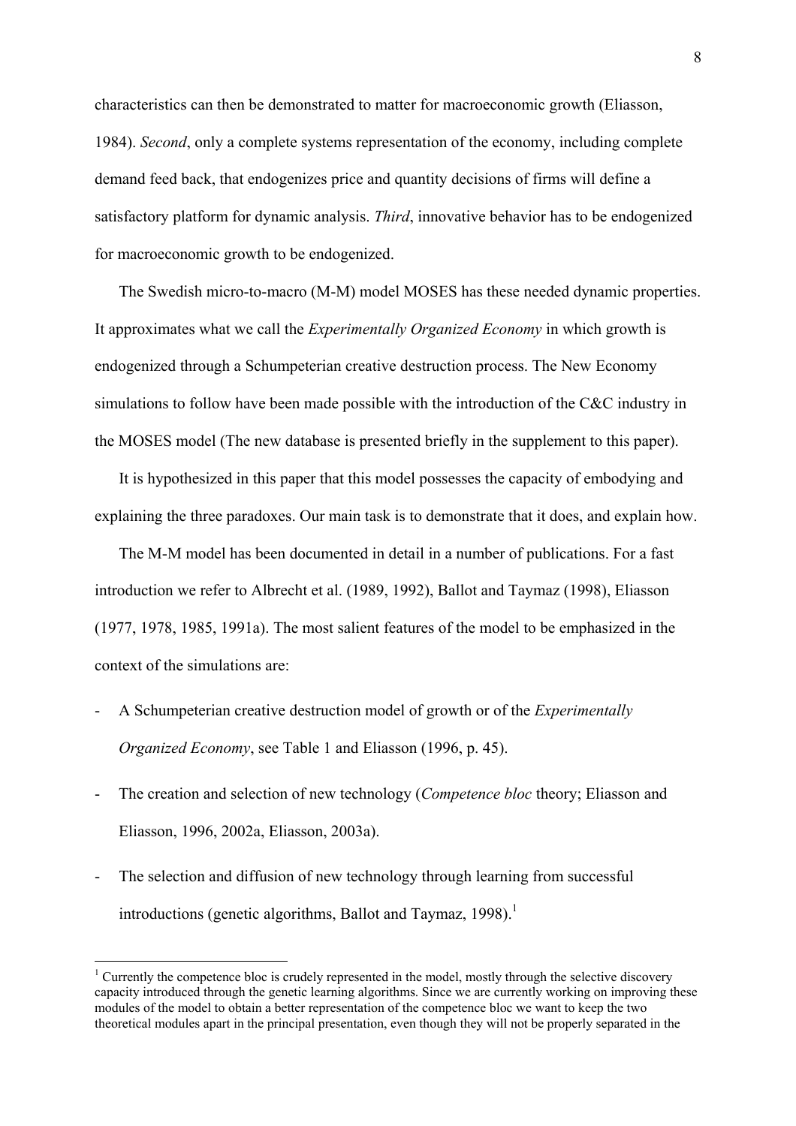<span id="page-8-0"></span>characteristics can then be demonstrated to matter for macroeconomic growth (Eliasson, 1984). *Second*, only a complete systems representation of the economy, including complete demand feed back, that endogenizes price and quantity decisions of firms will define a satisfactory platform for dynamic analysis. *Third*, innovative behavior has to be endogenized for macroeconomic growth to be endogenized.

 The Swedish micro-to-macro (M-M) model MOSES has these needed dynamic properties. It approximates what we call the *Experimentally Organized Economy* in which growth is endogenized through a Schumpeterian creative destruction process. The New Economy simulations to follow have been made possible with the introduction of the C&C industry in the MOSES model (The new database is presented briefly in the supplement to this paper).

 It is hypothesized in this paper that this model possesses the capacity of embodying and explaining the three paradoxes. Our main task is to demonstrate that it does, and explain how.

 The M-M model has been documented in detail in a number of publications. For a fast introduction we refer to Albrecht et al. (1989, 1992), Ballot and Taymaz (1998), Eliasson (1977, 1978, 1985, 1991a). The most salient features of the model to be emphasized in the context of the simulations are:

- A Schumpeterian creative destruction model of growth or of the *Experimentally Organized Economy*, see Table 1 and Eliasson (1996, p. 45).
- The creation and selection of new technology (*Competence bloc* theory; Eliasson and Eliasson, 1996, 2002a, Eliasson, 2003a).
- The selection and diffusion of new technology through learning from successful introductions (genetic algorithms, Ballot and Taymaz, [1](#page-8-0)998).<sup>1</sup>

 $1$  Currently the competence bloc is crudely represented in the model, mostly through the selective discovery capacity introduced through the genetic learning algorithms. Since we are currently working on improving these modules of the model to obtain a better representation of the competence bloc we want to keep the two theoretical modules apart in the principal presentation, even though they will not be properly separated in the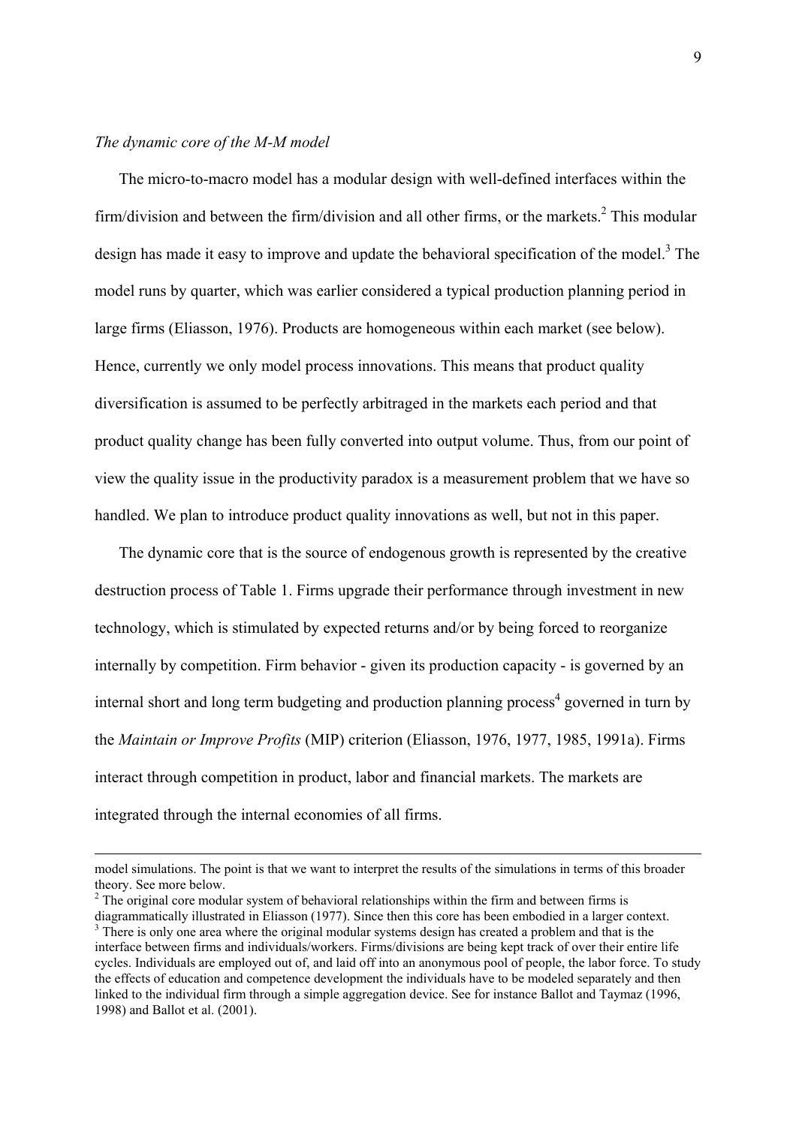#### *The dynamic core of the M-M model*

 $\overline{a}$ 

 The micro-to-macro model has a modular design with well-defined interfaces within the firm/division and between the firm/division and all other firms, or the markets. $2$  This modular design has made it easy to improve and update the behavioral specification of the model.<sup>3</sup> The model runs by quarter, which was earlier considered a typical production planning period in large firms (Eliasson, 1976). Products are homogeneous within each market (see below). Hence, currently we only model process innovations. This means that product quality diversification is assumed to be perfectly arbitraged in the markets each period and that product quality change has been fully converted into output volume. Thus, from our point of view the quality issue in the productivity paradox is a measurement problem that we have so handled. We plan to introduce product quality innovations as well, but not in this paper.

 The dynamic core that is the source of endogenous growth is represented by the creative destruction process of Table 1. Firms upgrade their performance through investment in new technology, which is stimulated by expected returns and/or by being forced to reorganize internally by competition. Firm behavior - given its production capacity - is governed by an internal short and long term budgeting and production planning process<sup>[4](#page-9-2)</sup> governed in turn by the *Maintain or Improve Profits* (MIP) criterion (Eliasson, 1976, 1977, 1985, 1991a). Firms interact through competition in product, labor and financial markets. The markets are integrated through the internal economies of all firms.

model simulations. The point is that we want to interpret the results of the simulations in terms of this broader theory. See more below.

<span id="page-9-0"></span> $2^2$  The original core modular system of behavioral relationships within the firm and between firms is

<span id="page-9-2"></span><span id="page-9-1"></span>diagrammatically illustrated in Eliasson (1977). Since then this core has been embodied in a larger context. 3 <sup>3</sup> There is only one area where the original modular systems design has created a problem and that is the interface between firms and individuals/workers. Firms/divisions are being kept track of over their entire life cycles. Individuals are employed out of, and laid off into an anonymous pool of people, the labor force. To study the effects of education and competence development the individuals have to be modeled separately and then linked to the individual firm through a simple aggregation device. See for instance Ballot and Taymaz (1996, 1998) and Ballot et al. (2001).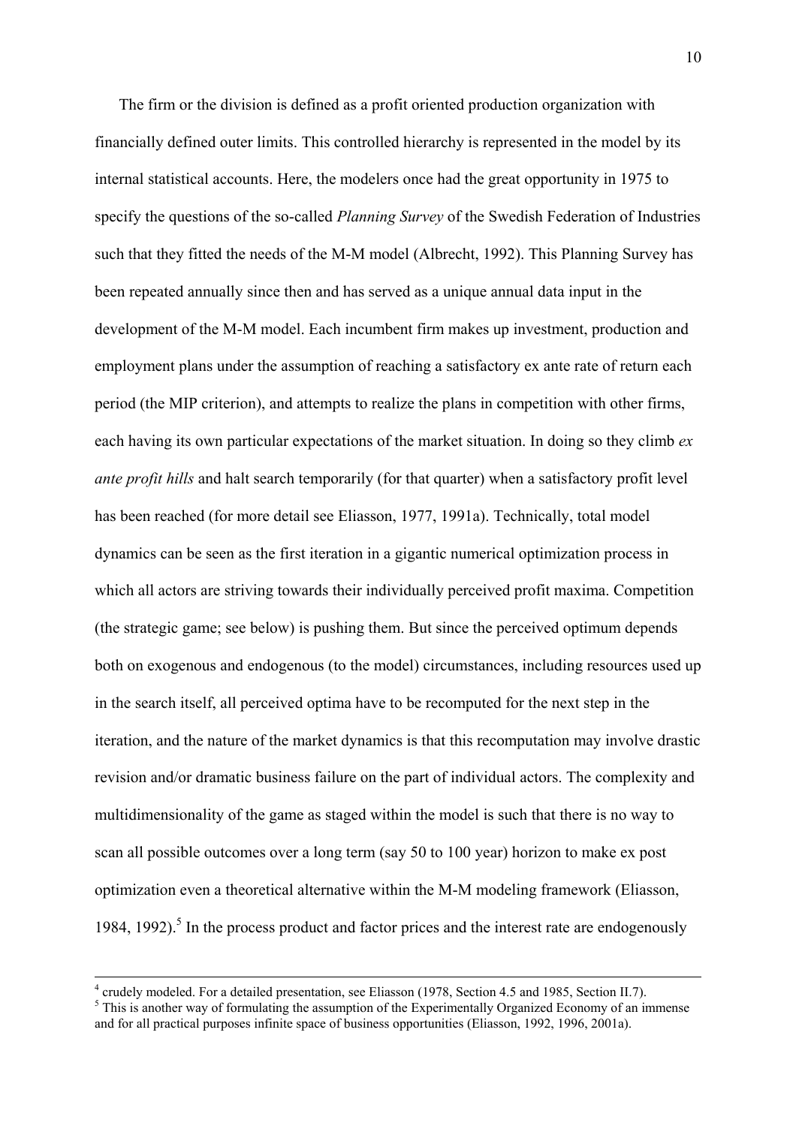The firm or the division is defined as a profit oriented production organization with financially defined outer limits. This controlled hierarchy is represented in the model by its internal statistical accounts. Here, the modelers once had the great opportunity in 1975 to specify the questions of the so-called *Planning Survey* of the Swedish Federation of Industries such that they fitted the needs of the M-M model (Albrecht, 1992). This Planning Survey has been repeated annually since then and has served as a unique annual data input in the development of the M-M model. Each incumbent firm makes up investment, production and employment plans under the assumption of reaching a satisfactory ex ante rate of return each period (the MIP criterion), and attempts to realize the plans in competition with other firms, each having its own particular expectations of the market situation. In doing so they climb *ex ante profit hills* and halt search temporarily (for that quarter) when a satisfactory profit level has been reached (for more detail see Eliasson, 1977, 1991a). Technically, total model dynamics can be seen as the first iteration in a gigantic numerical optimization process in which all actors are striving towards their individually perceived profit maxima. Competition (the strategic game; see below) is pushing them. But since the perceived optimum depends both on exogenous and endogenous (to the model) circumstances, including resources used up in the search itself, all perceived optima have to be recomputed for the next step in the iteration, and the nature of the market dynamics is that this recomputation may involve drastic revision and/or dramatic business failure on the part of individual actors. The complexity and multidimensionality of the game as staged within the model is such that there is no way to scan all possible outcomes over a long term (say 50 to 100 year) horizon to make ex post optimization even a theoretical alternative within the M-M modeling framework (Eliasson, 1984, 1992).<sup>5</sup> In the process product and factor prices and the interest rate are endogenously

<span id="page-10-0"></span> $\frac{1}{4}$ <sup>4</sup> crudely modeled. For a detailed presentation, see Eliasson (1978, Section 4.5 and 1985, Section II.7).  $5$  This is another way of formulating the assumption of the Experimentally Organized Economy of an immense and for all practical purposes infinite space of business opportunities (Eliasson, 1992, 1996, 2001a).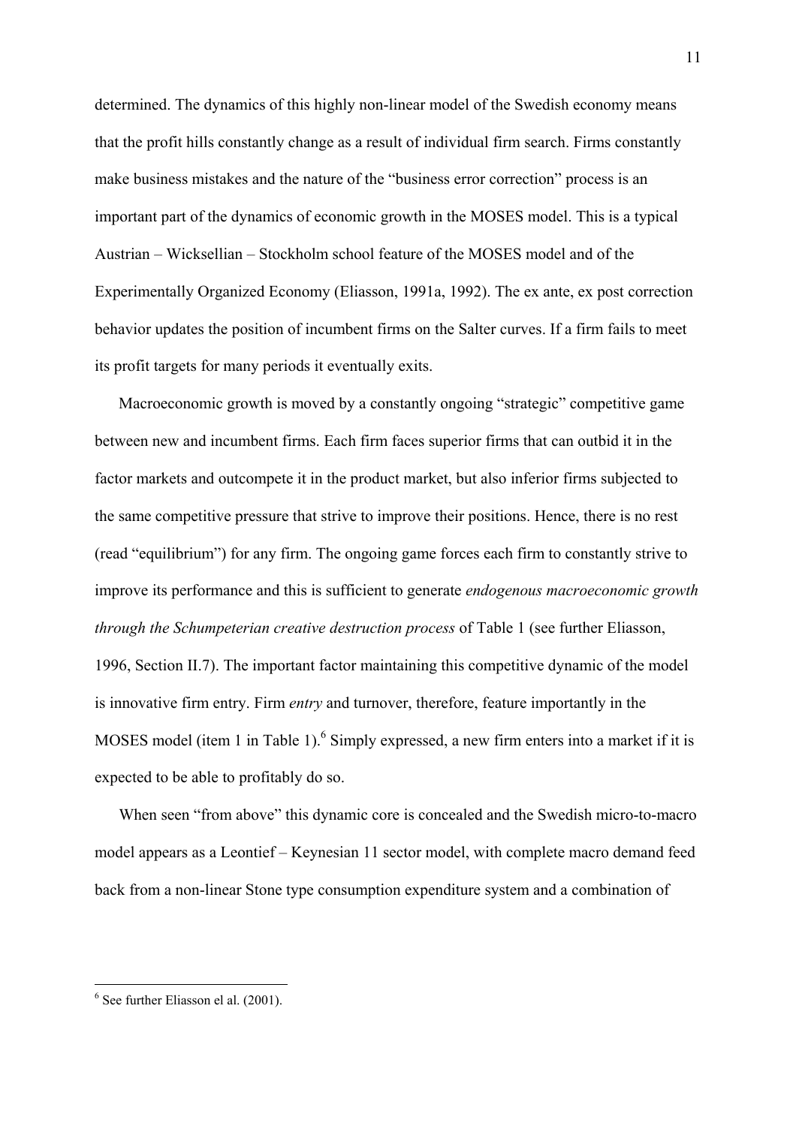determined. The dynamics of this highly non-linear model of the Swedish economy means that the profit hills constantly change as a result of individual firm search. Firms constantly make business mistakes and the nature of the "business error correction" process is an important part of the dynamics of economic growth in the MOSES model. This is a typical Austrian – Wicksellian – Stockholm school feature of the MOSES model and of the Experimentally Organized Economy (Eliasson, 1991a, 1992). The ex ante, ex post correction behavior updates the position of incumbent firms on the Salter curves. If a firm fails to meet its profit targets for many periods it eventually exits.

 Macroeconomic growth is moved by a constantly ongoing "strategic" competitive game between new and incumbent firms. Each firm faces superior firms that can outbid it in the factor markets and outcompete it in the product market, but also inferior firms subjected to the same competitive pressure that strive to improve their positions. Hence, there is no rest (read "equilibrium") for any firm. The ongoing game forces each firm to constantly strive to improve its performance and this is sufficient to generate *endogenous macroeconomic growth through the Schumpeterian creative destruction process* of Table 1 (see further Eliasson, 1996, Section II.7). The important factor maintaining this competitive dynamic of the model is innovative firm entry. Firm *entry* and turnover, therefore, feature importantly in the MOSES model (item 1 in Table 1).<sup>6</sup> Simply expressed, a new firm enters into a market if it is expected to be able to profitably do so.

 When seen "from above" this dynamic core is concealed and the Swedish micro-to-macro model appears as a Leontief – Keynesian 11 sector model, with complete macro demand feed back from a non-linear Stone type consumption expenditure system and a combination of

<span id="page-11-0"></span><sup>6</sup> See further Eliasson el al. (2001).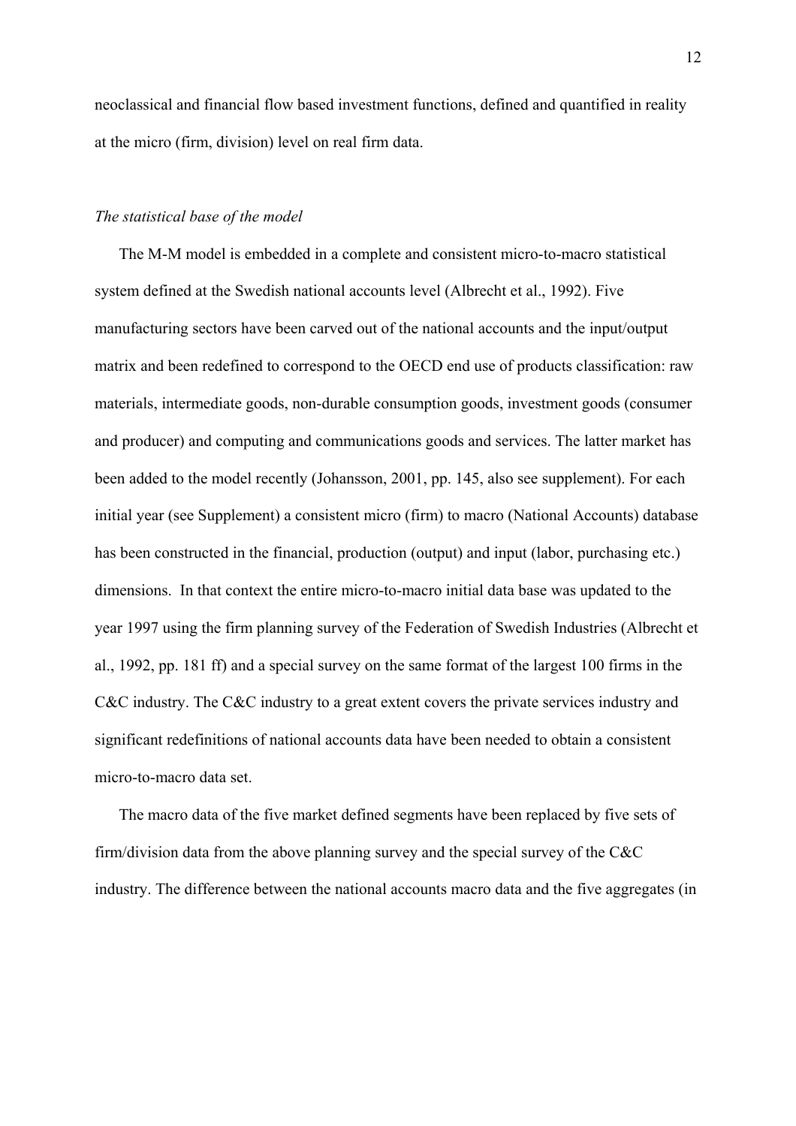neoclassical and financial flow based investment functions, defined and quantified in reality at the micro (firm, division) level on real firm data.

#### *The statistical base of the model*

 The M-M model is embedded in a complete and consistent micro-to-macro statistical system defined at the Swedish national accounts level (Albrecht et al., 1992). Five manufacturing sectors have been carved out of the national accounts and the input/output matrix and been redefined to correspond to the OECD end use of products classification: raw materials, intermediate goods, non-durable consumption goods, investment goods (consumer and producer) and computing and communications goods and services. The latter market has been added to the model recently (Johansson, 2001, pp. 145, also see supplement). For each initial year (see Supplement) a consistent micro (firm) to macro (National Accounts) database has been constructed in the financial, production (output) and input (labor, purchasing etc.) dimensions. In that context the entire micro-to-macro initial data base was updated to the year 1997 using the firm planning survey of the Federation of Swedish Industries (Albrecht et al., 1992, pp. 181 ff) and a special survey on the same format of the largest 100 firms in the C&C industry. The C&C industry to a great extent covers the private services industry and significant redefinitions of national accounts data have been needed to obtain a consistent micro-to-macro data set.

 The macro data of the five market defined segments have been replaced by five sets of firm/division data from the above planning survey and the special survey of the C&C industry. The difference between the national accounts macro data and the five aggregates (in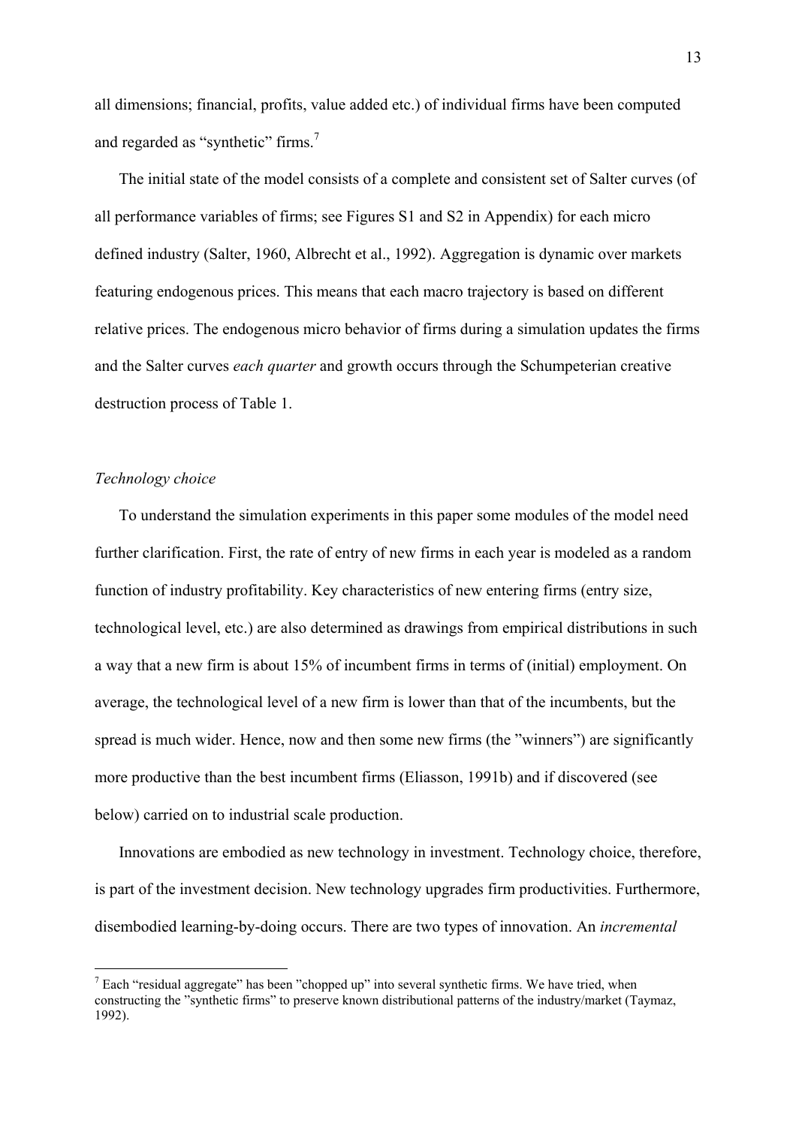all dimensions; financial, profits, value added etc.) of individual firms have been computed and regarded as "synthetic" firms.<sup>7</sup>

 The initial state of the model consists of a complete and consistent set of Salter curves (of all performance variables of firms; see Figures S1 and S2 in Appendix) for each micro defined industry (Salter, 1960, Albrecht et al., 1992). Aggregation is dynamic over markets featuring endogenous prices. This means that each macro trajectory is based on different relative prices. The endogenous micro behavior of firms during a simulation updates the firms and the Salter curves *each quarter* and growth occurs through the Schumpeterian creative destruction process of Table 1.

#### *Technology choice*

<u>.</u>

 To understand the simulation experiments in this paper some modules of the model need further clarification. First, the rate of entry of new firms in each year is modeled as a random function of industry profitability. Key characteristics of new entering firms (entry size, technological level, etc.) are also determined as drawings from empirical distributions in such a way that a new firm is about 15% of incumbent firms in terms of (initial) employment. On average, the technological level of a new firm is lower than that of the incumbents, but the spread is much wider. Hence, now and then some new firms (the "winners") are significantly more productive than the best incumbent firms (Eliasson, 1991b) and if discovered (see below) carried on to industrial scale production.

 Innovations are embodied as new technology in investment. Technology choice, therefore, is part of the investment decision. New technology upgrades firm productivities. Furthermore, disembodied learning-by-doing occurs. There are two types of innovation. An *incremental*

<span id="page-13-0"></span> $<sup>7</sup>$  Each "residual aggregate" has been "chopped up" into several synthetic firms. We have tried, when</sup> constructing the "synthetic firms" to preserve known distributional patterns of the industry/market (Taymaz, 1992).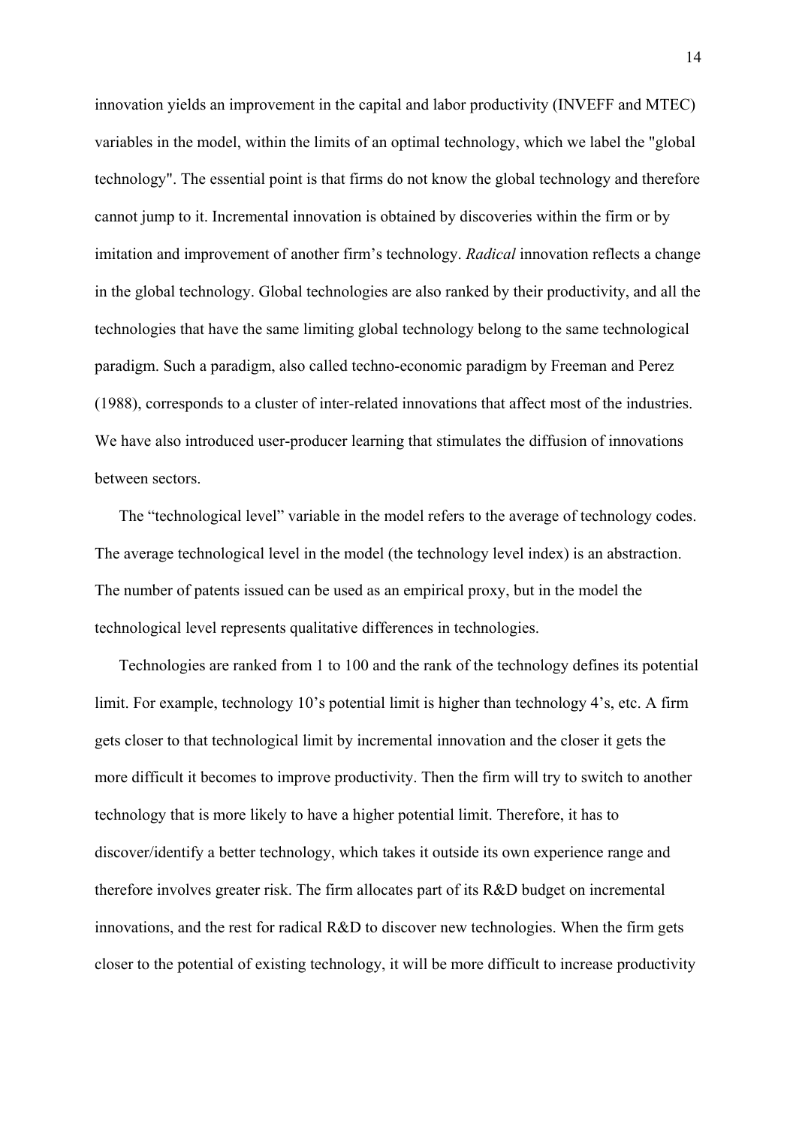innovation yields an improvement in the capital and labor productivity (INVEFF and MTEC) variables in the model, within the limits of an optimal technology, which we label the "global technology". The essential point is that firms do not know the global technology and therefore cannot jump to it. Incremental innovation is obtained by discoveries within the firm or by imitation and improvement of another firm's technology. *Radical* innovation reflects a change in the global technology. Global technologies are also ranked by their productivity, and all the technologies that have the same limiting global technology belong to the same technological paradigm. Such a paradigm, also called techno-economic paradigm by Freeman and Perez (1988), corresponds to a cluster of inter-related innovations that affect most of the industries. We have also introduced user-producer learning that stimulates the diffusion of innovations between sectors.

 The "technological level" variable in the model refers to the average of technology codes. The average technological level in the model (the technology level index) is an abstraction. The number of patents issued can be used as an empirical proxy, but in the model the technological level represents qualitative differences in technologies.

 Technologies are ranked from 1 to 100 and the rank of the technology defines its potential limit. For example, technology 10's potential limit is higher than technology 4's, etc. A firm gets closer to that technological limit by incremental innovation and the closer it gets the more difficult it becomes to improve productivity. Then the firm will try to switch to another technology that is more likely to have a higher potential limit. Therefore, it has to discover/identify a better technology, which takes it outside its own experience range and therefore involves greater risk. The firm allocates part of its R&D budget on incremental innovations, and the rest for radical R&D to discover new technologies. When the firm gets closer to the potential of existing technology, it will be more difficult to increase productivity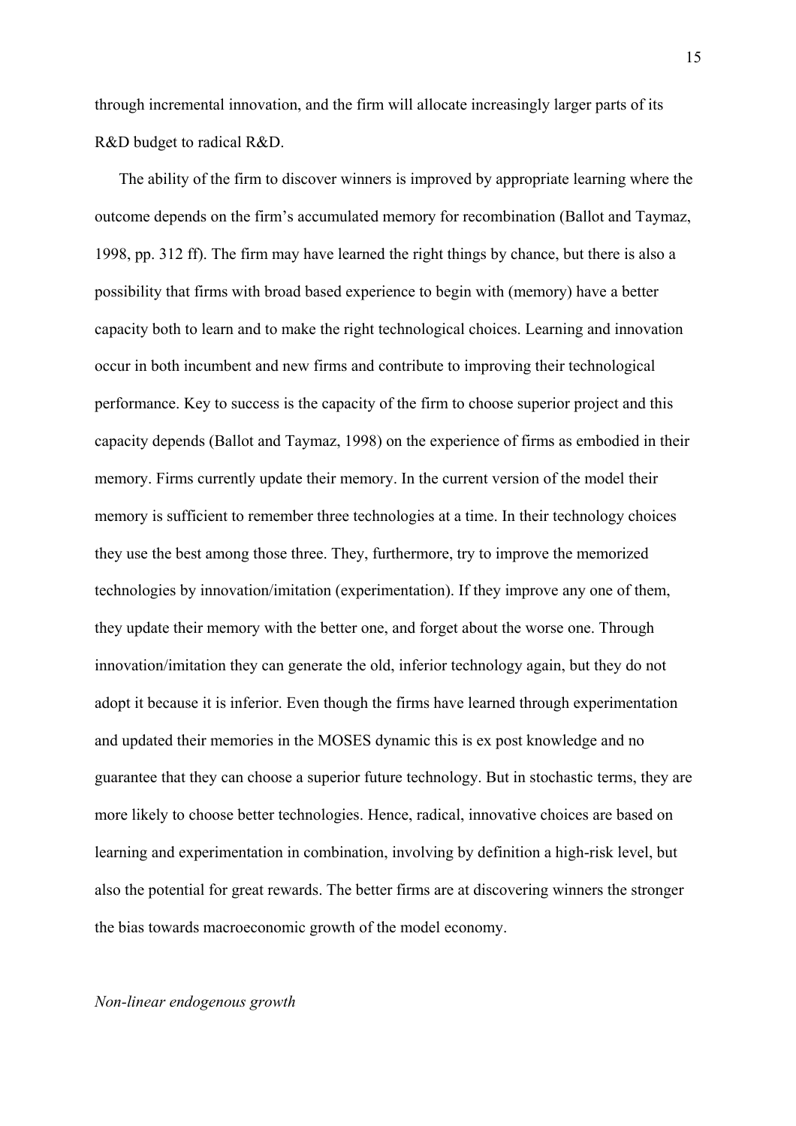through incremental innovation, and the firm will allocate increasingly larger parts of its R&D budget to radical R&D.

 The ability of the firm to discover winners is improved by appropriate learning where the outcome depends on the firm's accumulated memory for recombination (Ballot and Taymaz, 1998, pp. 312 ff). The firm may have learned the right things by chance, but there is also a possibility that firms with broad based experience to begin with (memory) have a better capacity both to learn and to make the right technological choices. Learning and innovation occur in both incumbent and new firms and contribute to improving their technological performance. Key to success is the capacity of the firm to choose superior project and this capacity depends (Ballot and Taymaz, 1998) on the experience of firms as embodied in their memory. Firms currently update their memory. In the current version of the model their memory is sufficient to remember three technologies at a time. In their technology choices they use the best among those three. They, furthermore, try to improve the memorized technologies by innovation/imitation (experimentation). If they improve any one of them, they update their memory with the better one, and forget about the worse one. Through innovation/imitation they can generate the old, inferior technology again, but they do not adopt it because it is inferior. Even though the firms have learned through experimentation and updated their memories in the MOSES dynamic this is ex post knowledge and no guarantee that they can choose a superior future technology. But in stochastic terms, they are more likely to choose better technologies. Hence, radical, innovative choices are based on learning and experimentation in combination, involving by definition a high-risk level, but also the potential for great rewards. The better firms are at discovering winners the stronger the bias towards macroeconomic growth of the model economy.

*Non-linear endogenous growth*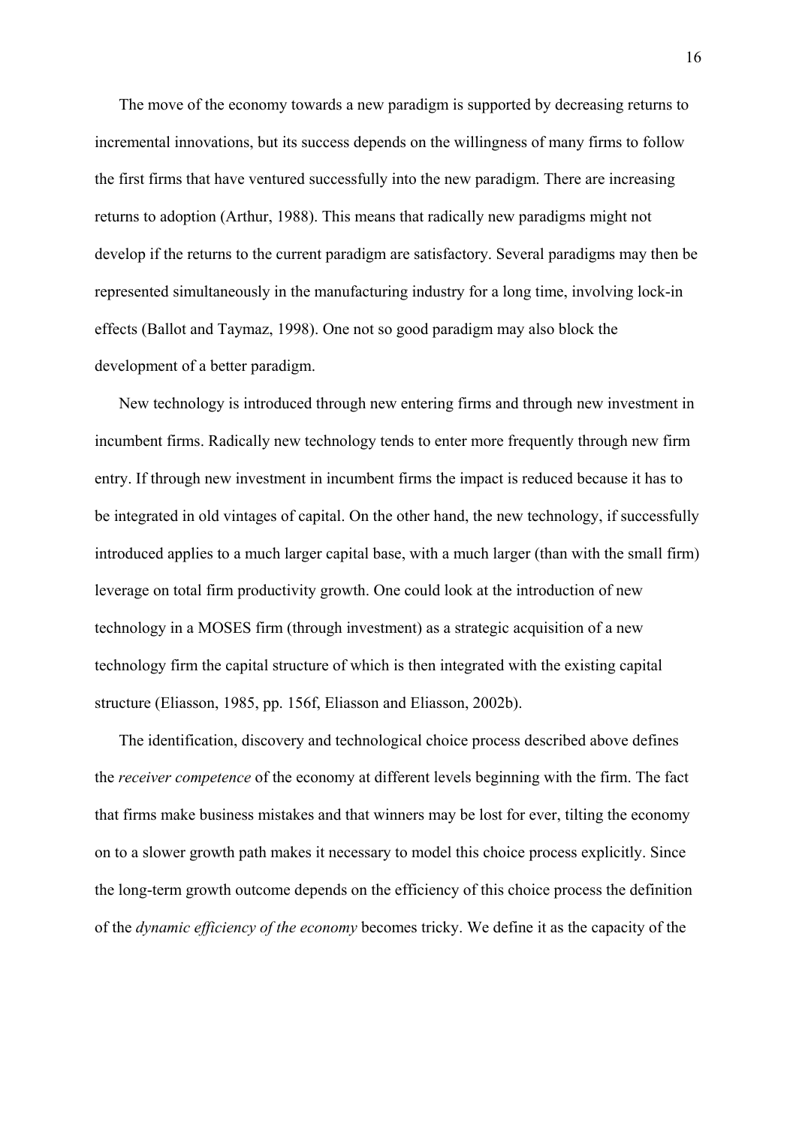The move of the economy towards a new paradigm is supported by decreasing returns to incremental innovations, but its success depends on the willingness of many firms to follow the first firms that have ventured successfully into the new paradigm. There are increasing returns to adoption (Arthur, 1988). This means that radically new paradigms might not develop if the returns to the current paradigm are satisfactory. Several paradigms may then be represented simultaneously in the manufacturing industry for a long time, involving lock-in effects (Ballot and Taymaz, 1998). One not so good paradigm may also block the development of a better paradigm.

 New technology is introduced through new entering firms and through new investment in incumbent firms. Radically new technology tends to enter more frequently through new firm entry. If through new investment in incumbent firms the impact is reduced because it has to be integrated in old vintages of capital. On the other hand, the new technology, if successfully introduced applies to a much larger capital base, with a much larger (than with the small firm) leverage on total firm productivity growth. One could look at the introduction of new technology in a MOSES firm (through investment) as a strategic acquisition of a new technology firm the capital structure of which is then integrated with the existing capital structure (Eliasson, 1985, pp. 156f, Eliasson and Eliasson, 2002b).

 The identification, discovery and technological choice process described above defines the *receiver competence* of the economy at different levels beginning with the firm. The fact that firms make business mistakes and that winners may be lost for ever, tilting the economy on to a slower growth path makes it necessary to model this choice process explicitly. Since the long-term growth outcome depends on the efficiency of this choice process the definition of the *dynamic efficiency of the economy* becomes tricky. We define it as the capacity of the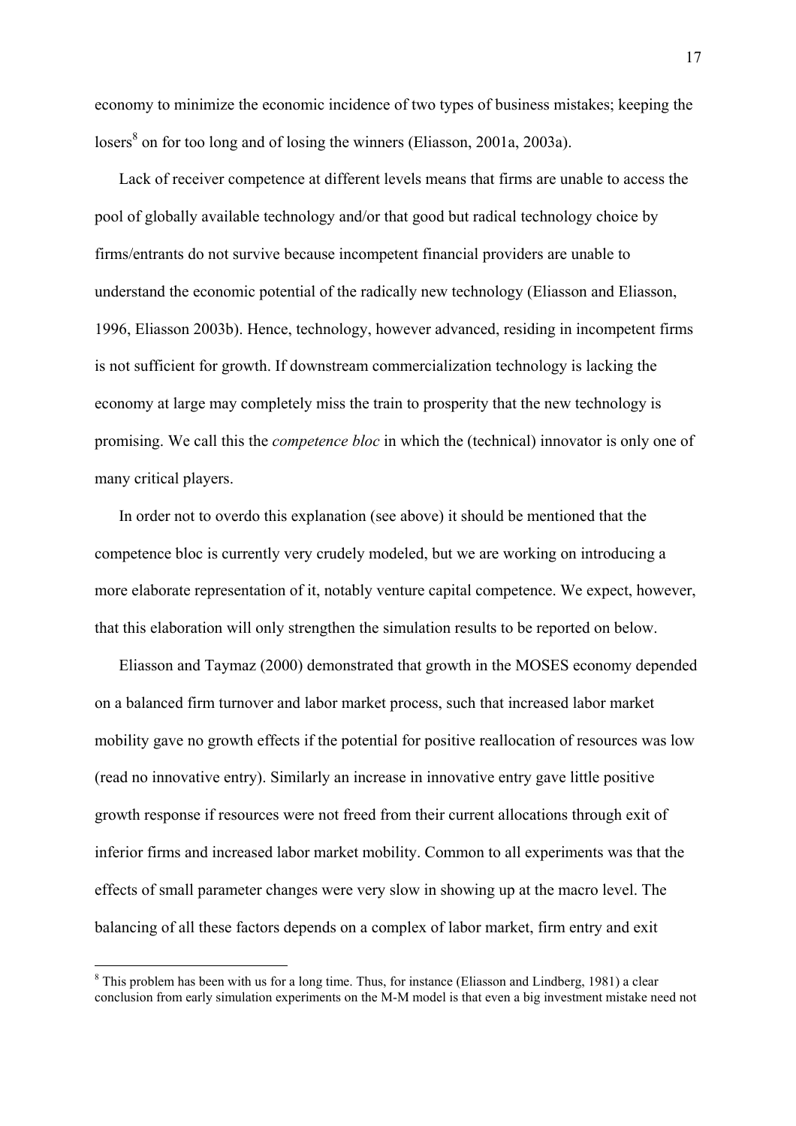<span id="page-17-0"></span>economy to minimize the economic incidence of two types of business mistakes; keeping the losers<sup>8</sup> on for too long and of losing the winners (Eliasson, 2001a, 2003a).

 Lack of receiver competence at different levels means that firms are unable to access the pool of globally available technology and/or that good but radical technology choice by firms/entrants do not survive because incompetent financial providers are unable to understand the economic potential of the radically new technology (Eliasson and Eliasson, 1996, Eliasson 2003b). Hence, technology, however advanced, residing in incompetent firms is not sufficient for growth. If downstream commercialization technology is lacking the economy at large may completely miss the train to prosperity that the new technology is promising. We call this the *competence bloc* in which the (technical) innovator is only one of many critical players.

 In order not to overdo this explanation (see above) it should be mentioned that the competence bloc is currently very crudely modeled, but we are working on introducing a more elaborate representation of it, notably venture capital competence. We expect, however, that this elaboration will only strengthen the simulation results to be reported on below.

 Eliasson and Taymaz (2000) demonstrated that growth in the MOSES economy depended on a balanced firm turnover and labor market process, such that increased labor market mobility gave no growth effects if the potential for positive reallocation of resources was low (read no innovative entry). Similarly an increase in innovative entry gave little positive growth response if resources were not freed from their current allocations through exit of inferior firms and increased labor market mobility. Common to all experiments was that the effects of small parameter changes were very slow in showing up at the macro level. The balancing of all these factors depends on a complex of labor market, firm entry and exit

<sup>&</sup>lt;sup>8</sup> This problem has been with us for a long time. Thus, for instance (Eliasson and Lindberg, 1981) a clear conclusion from early simulation experiments on the M-M model is that even a big investment mistake need not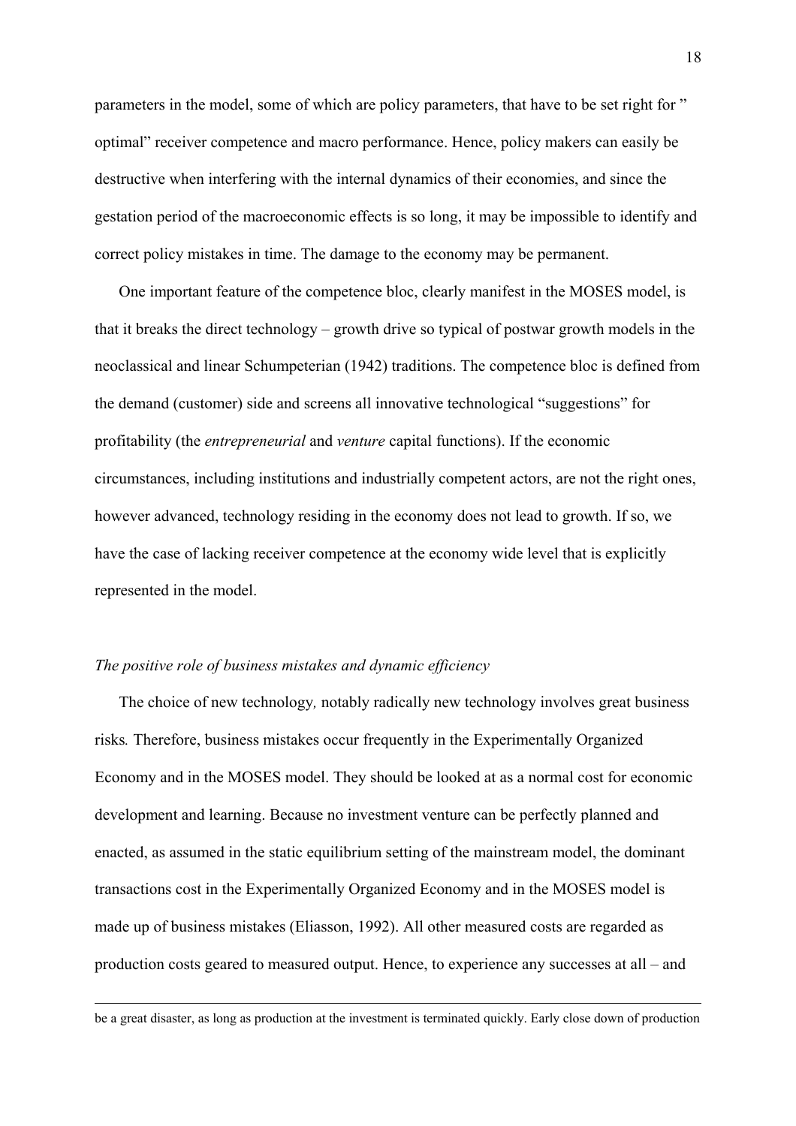parameters in the model, some of which are policy parameters, that have to be set right for " optimal" receiver competence and macro performance. Hence, policy makers can easily be destructive when interfering with the internal dynamics of their economies, and since the gestation period of the macroeconomic effects is so long, it may be impossible to identify and correct policy mistakes in time. The damage to the economy may be permanent.

 One important feature of the competence bloc, clearly manifest in the MOSES model, is that it breaks the direct technology – growth drive so typical of postwar growth models in the neoclassical and linear Schumpeterian (1942) traditions. The competence bloc is defined from the demand (customer) side and screens all innovative technological "suggestions" for profitability (the *entrepreneurial* and *venture* capital functions). If the economic circumstances, including institutions and industrially competent actors, are not the right ones, however advanced, technology residing in the economy does not lead to growth. If so, we have the case of lacking receiver competence at the economy wide level that is explicitly represented in the model.

# *The positive role of business mistakes and dynamic efficiency*

 $\overline{a}$ 

 The choice of new technology*,* notably radically new technology involves great business risks*.* Therefore, business mistakes occur frequently in the Experimentally Organized Economy and in the MOSES model. They should be looked at as a normal cost for economic development and learning. Because no investment venture can be perfectly planned and enacted, as assumed in the static equilibrium setting of the mainstream model, the dominant transactions cost in the Experimentally Organized Economy and in the MOSES model is made up of business mistakes (Eliasson, 1992). All other measured costs are regarded as production costs geared to measured output. Hence, to experience any successes at all – and

be a great disaster, as long as production at the investment is terminated quickly. Early close down of production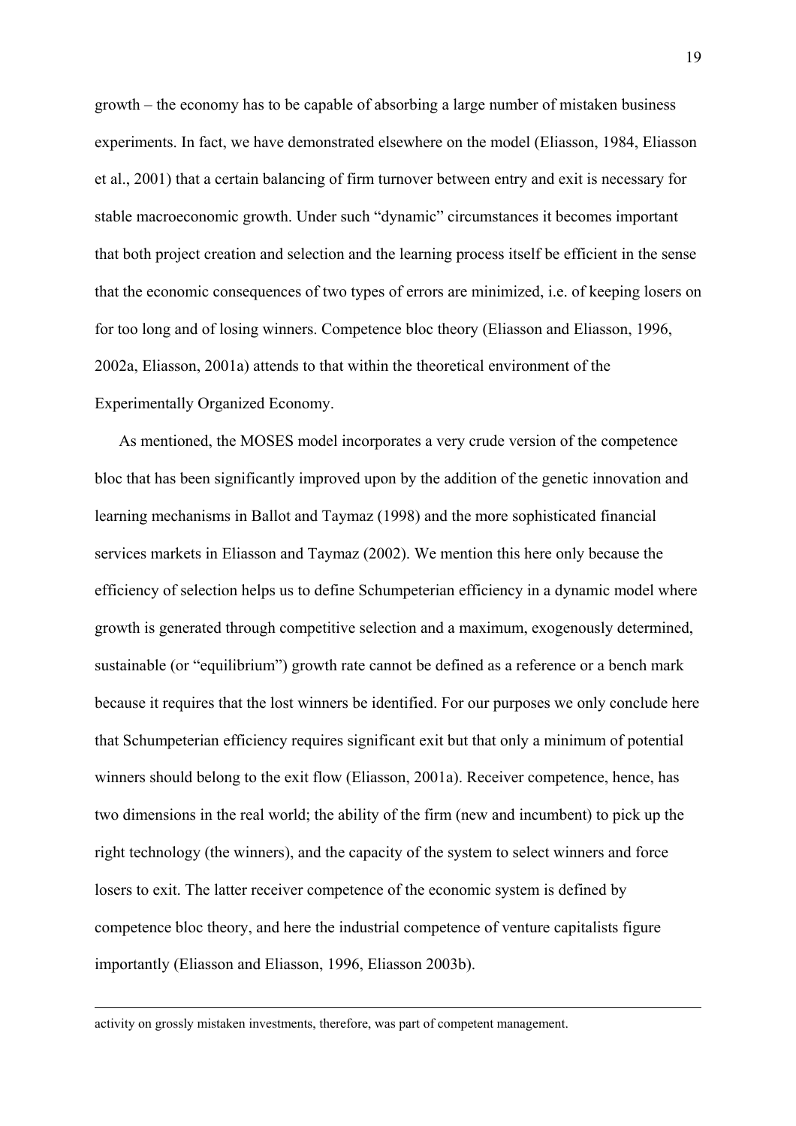growth – the economy has to be capable of absorbing a large number of mistaken business experiments. In fact, we have demonstrated elsewhere on the model (Eliasson, 1984, Eliasson et al., 2001) that a certain balancing of firm turnover between entry and exit is necessary for stable macroeconomic growth. Under such "dynamic" circumstances it becomes important that both project creation and selection and the learning process itself be efficient in the sense that the economic consequences of two types of errors are minimized, i.e. of keeping losers on for too long and of losing winners. Competence bloc theory (Eliasson and Eliasson, 1996, 2002a, Eliasson, 2001a) attends to that within the theoretical environment of the Experimentally Organized Economy.

 As mentioned, the MOSES model incorporates a very crude version of the competence bloc that has been significantly improved upon by the addition of the genetic innovation and learning mechanisms in Ballot and Taymaz (1998) and the more sophisticated financial services markets in Eliasson and Taymaz (2002). We mention this here only because the efficiency of selection helps us to define Schumpeterian efficiency in a dynamic model where growth is generated through competitive selection and a maximum, exogenously determined, sustainable (or "equilibrium") growth rate cannot be defined as a reference or a bench mark because it requires that the lost winners be identified. For our purposes we only conclude here that Schumpeterian efficiency requires significant exit but that only a minimum of potential winners should belong to the exit flow (Eliasson, 2001a). Receiver competence, hence, has two dimensions in the real world; the ability of the firm (new and incumbent) to pick up the right technology (the winners), and the capacity of the system to select winners and force losers to exit. The latter receiver competence of the economic system is defined by competence bloc theory, and here the industrial competence of venture capitalists figure importantly (Eliasson and Eliasson, 1996, Eliasson 2003b).

activity on grossly mistaken investments, therefore, was part of competent management.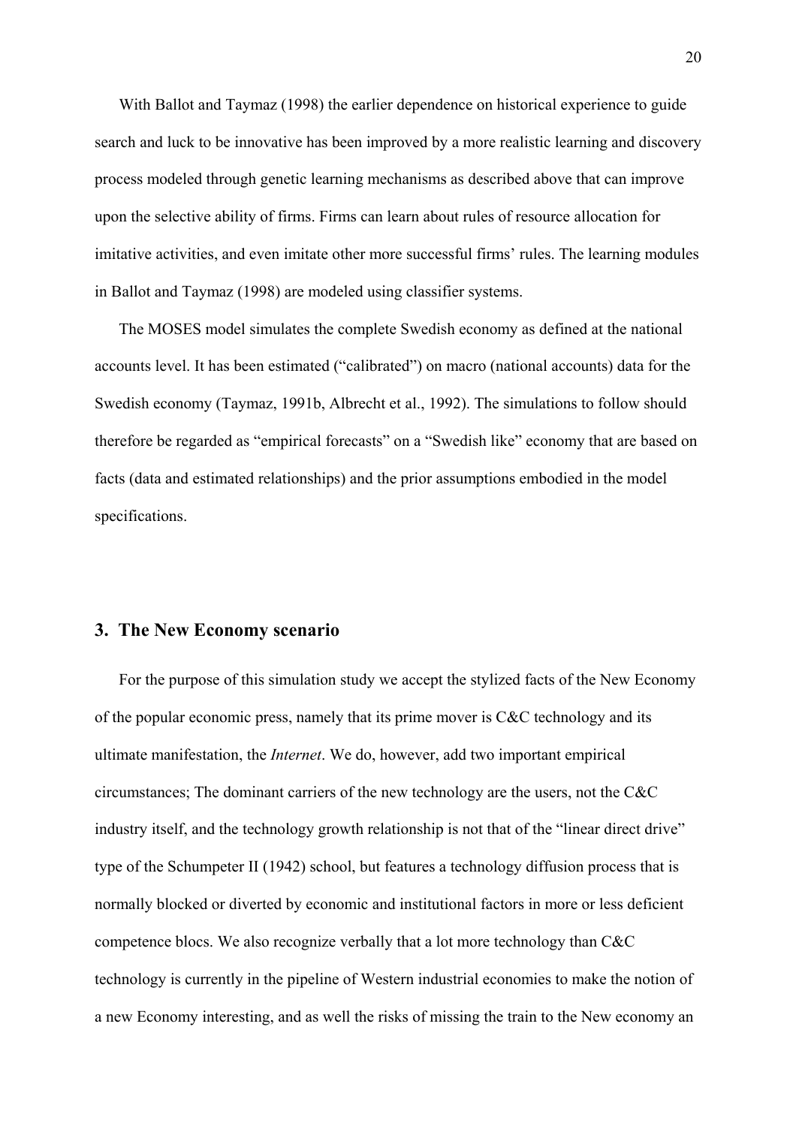With Ballot and Taymaz (1998) the earlier dependence on historical experience to guide search and luck to be innovative has been improved by a more realistic learning and discovery process modeled through genetic learning mechanisms as described above that can improve upon the selective ability of firms. Firms can learn about rules of resource allocation for imitative activities, and even imitate other more successful firms' rules. The learning modules in Ballot and Taymaz (1998) are modeled using classifier systems.

 The MOSES model simulates the complete Swedish economy as defined at the national accounts level. It has been estimated ("calibrated") on macro (national accounts) data for the Swedish economy (Taymaz, 1991b, Albrecht et al., 1992). The simulations to follow should therefore be regarded as "empirical forecasts" on a "Swedish like" economy that are based on facts (data and estimated relationships) and the prior assumptions embodied in the model specifications.

#### **3. The New Economy scenario**

 For the purpose of this simulation study we accept the stylized facts of the New Economy of the popular economic press, namely that its prime mover is C&C technology and its ultimate manifestation, the *Internet*. We do, however, add two important empirical circumstances; The dominant carriers of the new technology are the users, not the C&C industry itself, and the technology growth relationship is not that of the "linear direct drive" type of the Schumpeter II (1942) school, but features a technology diffusion process that is normally blocked or diverted by economic and institutional factors in more or less deficient competence blocs. We also recognize verbally that a lot more technology than C&C technology is currently in the pipeline of Western industrial economies to make the notion of a new Economy interesting, and as well the risks of missing the train to the New economy an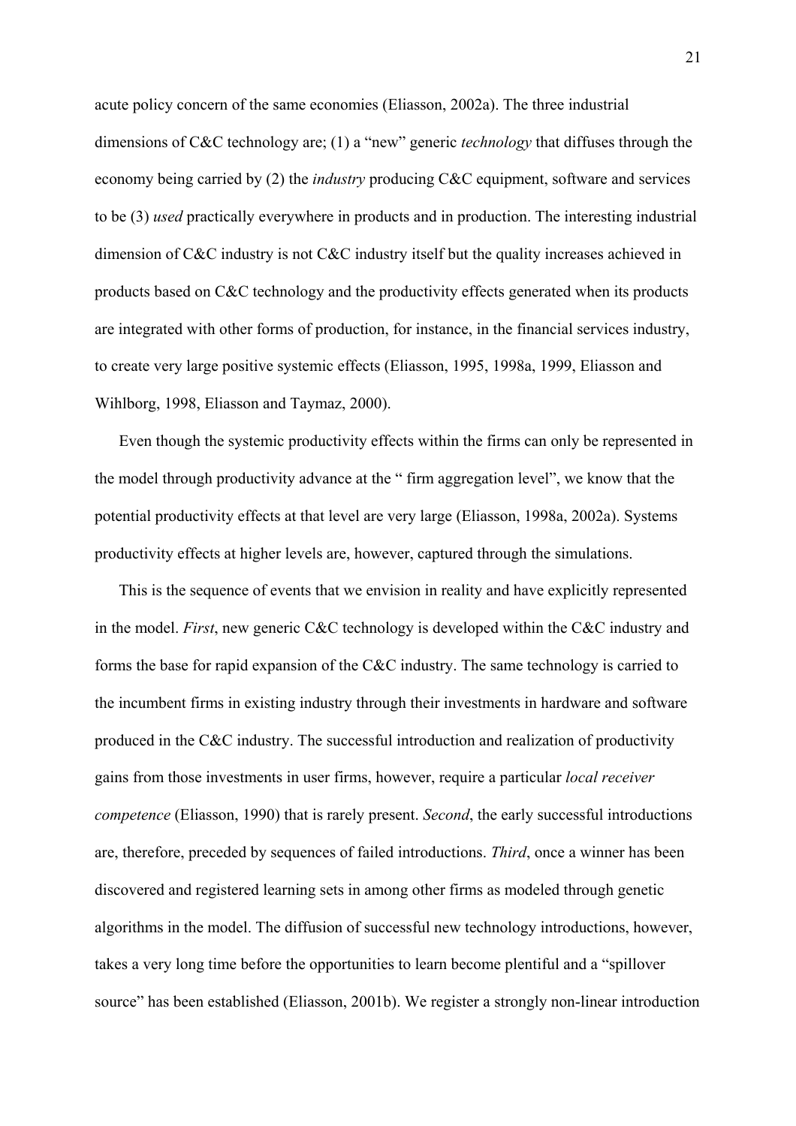acute policy concern of the same economies (Eliasson, 2002a). The three industrial dimensions of C&C technology are; (1) a "new" generic *technology* that diffuses through the economy being carried by (2) the *industry* producing C&C equipment, software and services to be (3) *used* practically everywhere in products and in production. The interesting industrial dimension of C&C industry is not C&C industry itself but the quality increases achieved in products based on C&C technology and the productivity effects generated when its products are integrated with other forms of production, for instance, in the financial services industry, to create very large positive systemic effects (Eliasson, 1995, 1998a, 1999, Eliasson and Wihlborg, 1998, Eliasson and Taymaz, 2000).

 Even though the systemic productivity effects within the firms can only be represented in the model through productivity advance at the " firm aggregation level", we know that the potential productivity effects at that level are very large (Eliasson, 1998a, 2002a). Systems productivity effects at higher levels are, however, captured through the simulations.

 This is the sequence of events that we envision in reality and have explicitly represented in the model. *First*, new generic C&C technology is developed within the C&C industry and forms the base for rapid expansion of the C&C industry. The same technology is carried to the incumbent firms in existing industry through their investments in hardware and software produced in the C&C industry. The successful introduction and realization of productivity gains from those investments in user firms, however, require a particular *local receiver competence* (Eliasson, 1990) that is rarely present. *Second*, the early successful introductions are, therefore, preceded by sequences of failed introductions. *Third*, once a winner has been discovered and registered learning sets in among other firms as modeled through genetic algorithms in the model. The diffusion of successful new technology introductions, however, takes a very long time before the opportunities to learn become plentiful and a "spillover source" has been established (Eliasson, 2001b). We register a strongly non-linear introduction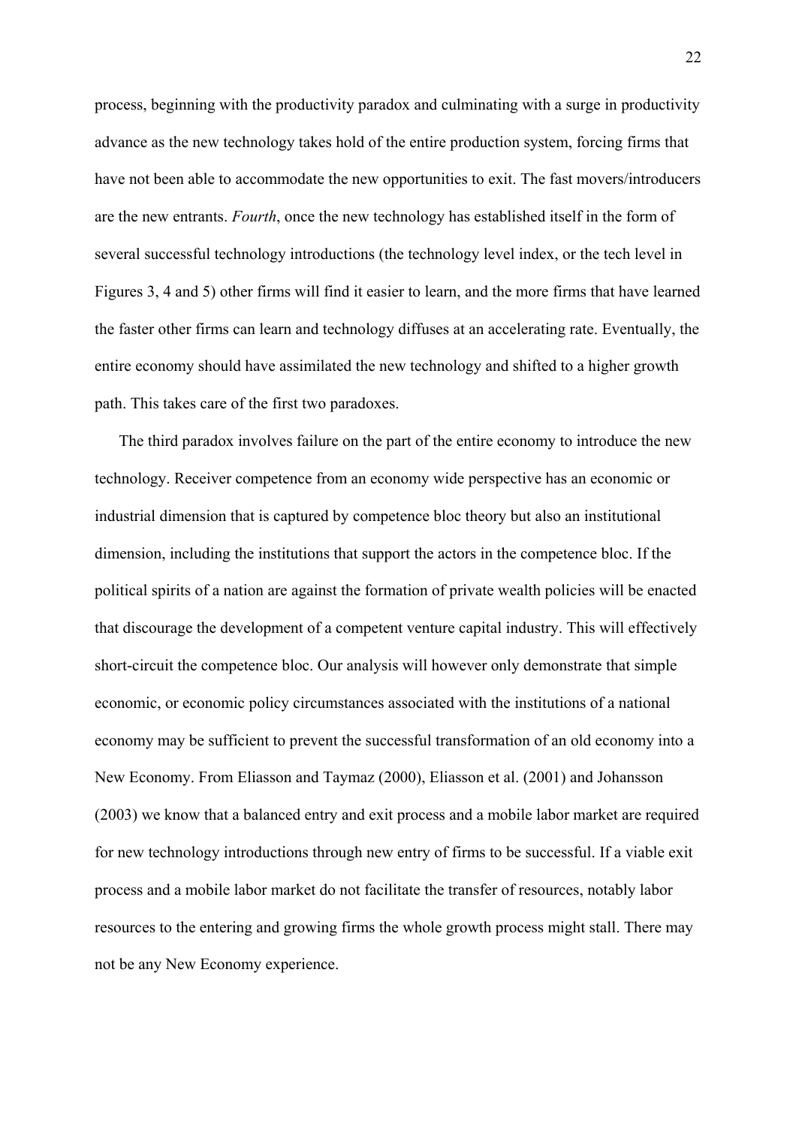process, beginning with the productivity paradox and culminating with a surge in productivity advance as the new technology takes hold of the entire production system, forcing firms that have not been able to accommodate the new opportunities to exit. The fast movers/introducers are the new entrants. *Fourth*, once the new technology has established itself in the form of several successful technology introductions (the technology level index, or the tech level in Figures 3, 4 and 5) other firms will find it easier to learn, and the more firms that have learned the faster other firms can learn and technology diffuses at an accelerating rate. Eventually, the entire economy should have assimilated the new technology and shifted to a higher growth path. This takes care of the first two paradoxes.

 The third paradox involves failure on the part of the entire economy to introduce the new technology. Receiver competence from an economy wide perspective has an economic or industrial dimension that is captured by competence bloc theory but also an institutional dimension, including the institutions that support the actors in the competence bloc. If the political spirits of a nation are against the formation of private wealth policies will be enacted that discourage the development of a competent venture capital industry. This will effectively short-circuit the competence bloc. Our analysis will however only demonstrate that simple economic, or economic policy circumstances associated with the institutions of a national economy may be sufficient to prevent the successful transformation of an old economy into a New Economy. From Eliasson and Taymaz (2000), Eliasson et al. (2001) and Johansson (2003) we know that a balanced entry and exit process and a mobile labor market are required for new technology introductions through new entry of firms to be successful. If a viable exit process and a mobile labor market do not facilitate the transfer of resources, notably labor resources to the entering and growing firms the whole growth process might stall. There may not be any New Economy experience.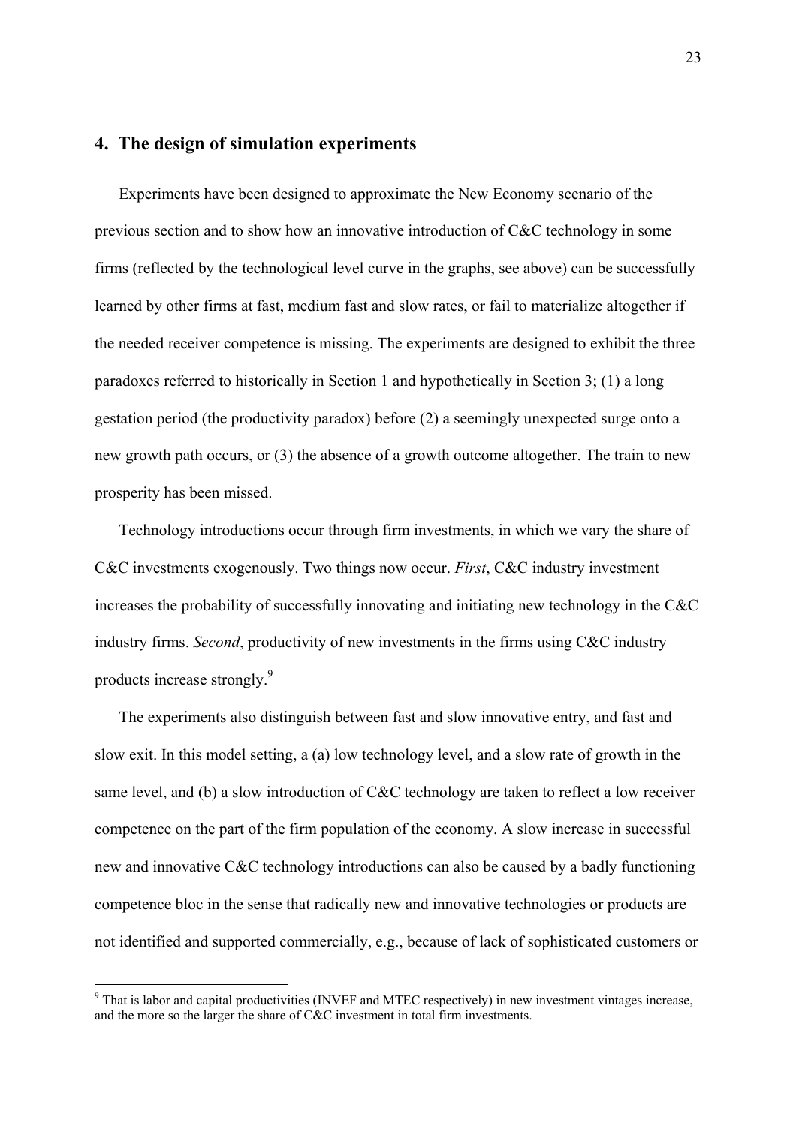# **4. The design of simulation experiments**

 Experiments have been designed to approximate the New Economy scenario of the previous section and to show how an innovative introduction of C&C technology in some firms (reflected by the technological level curve in the graphs, see above) can be successfully learned by other firms at fast, medium fast and slow rates, or fail to materialize altogether if the needed receiver competence is missing. The experiments are designed to exhibit the three paradoxes referred to historically in Section 1 and hypothetically in Section 3; (1) a long gestation period (the productivity paradox) before (2) a seemingly unexpected surge onto a new growth path occurs, or (3) the absence of a growth outcome altogether. The train to new prosperity has been missed.

 Technology introductions occur through firm investments, in which we vary the share of C&C investments exogenously. Two things now occur. *First*, C&C industry investment increases the probability of successfully innovating and initiating new technology in the C&C industry firms. *Second*, productivity of new investments in the firms using C&C industry products increase strongly.<sup>[9](#page-23-0)</sup>

 The experiments also distinguish between fast and slow innovative entry, and fast and slow exit. In this model setting, a (a) low technology level, and a slow rate of growth in the same level, and (b) a slow introduction of C&C technology are taken to reflect a low receiver competence on the part of the firm population of the economy. A slow increase in successful new and innovative C&C technology introductions can also be caused by a badly functioning competence bloc in the sense that radically new and innovative technologies or products are not identified and supported commercially, e.g., because of lack of sophisticated customers or

<span id="page-23-0"></span><sup>&</sup>lt;sup>9</sup> That is labor and capital productivities (INVEF and MTEC respectively) in new investment vintages increase, and the more so the larger the share of C&C investment in total firm investments.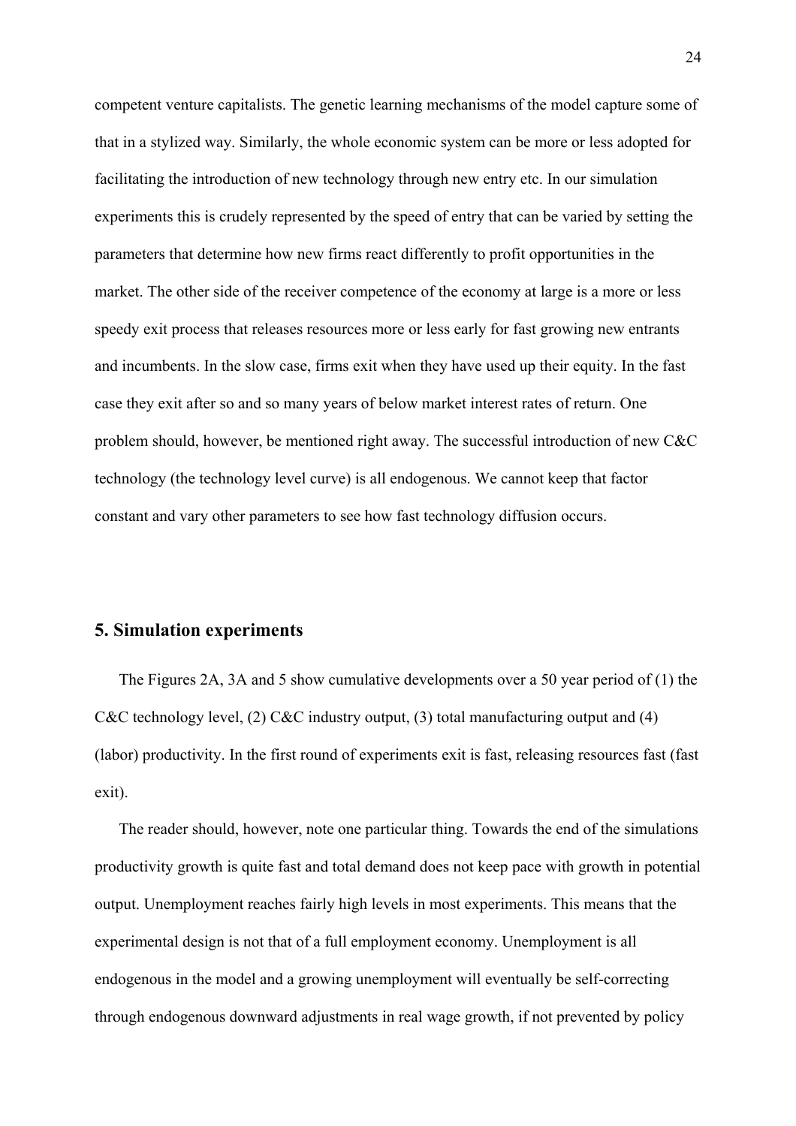competent venture capitalists. The genetic learning mechanisms of the model capture some of that in a stylized way. Similarly, the whole economic system can be more or less adopted for facilitating the introduction of new technology through new entry etc. In our simulation experiments this is crudely represented by the speed of entry that can be varied by setting the parameters that determine how new firms react differently to profit opportunities in the market. The other side of the receiver competence of the economy at large is a more or less speedy exit process that releases resources more or less early for fast growing new entrants and incumbents. In the slow case, firms exit when they have used up their equity. In the fast case they exit after so and so many years of below market interest rates of return. One problem should, however, be mentioned right away. The successful introduction of new C&C technology (the technology level curve) is all endogenous. We cannot keep that factor constant and vary other parameters to see how fast technology diffusion occurs.

## **5. Simulation experiments**

 The Figures 2A, 3A and 5 show cumulative developments over a 50 year period of (1) the C&C technology level, (2) C&C industry output, (3) total manufacturing output and (4) (labor) productivity. In the first round of experiments exit is fast, releasing resources fast (fast exit).

 The reader should, however, note one particular thing. Towards the end of the simulations productivity growth is quite fast and total demand does not keep pace with growth in potential output. Unemployment reaches fairly high levels in most experiments. This means that the experimental design is not that of a full employment economy. Unemployment is all endogenous in the model and a growing unemployment will eventually be self-correcting through endogenous downward adjustments in real wage growth, if not prevented by policy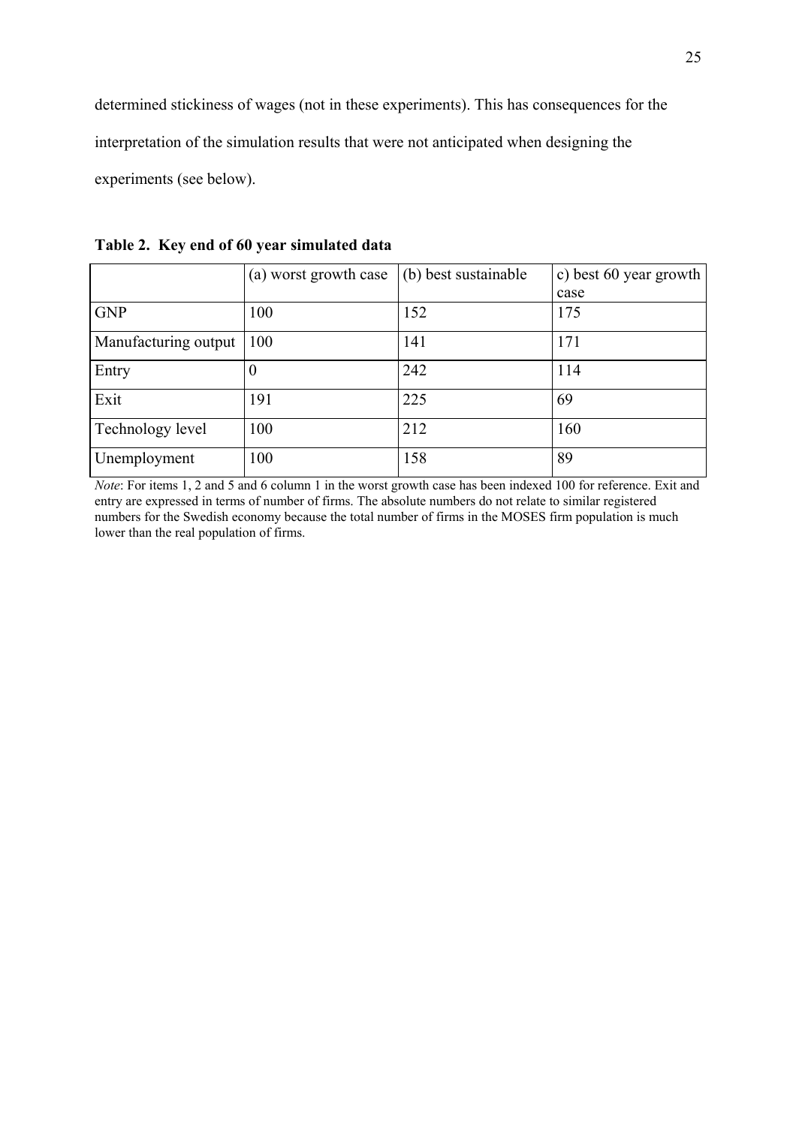determined stickiness of wages (not in these experiments). This has consequences for the interpretation of the simulation results that were not anticipated when designing the experiments (see below).

|                      | (a) worst growth case | $(b)$ best sustainable | c) best 60 year growth |
|----------------------|-----------------------|------------------------|------------------------|
|                      |                       |                        | case                   |
| <b>GNP</b>           | 100                   | 152                    | 175                    |
| Manufacturing output | 100                   | 141                    | 171                    |
| Entry                |                       | 242                    | 114                    |
| Exit                 | 191                   | 225                    | 69                     |
| Technology level     | 100                   | 212                    | 160                    |
| Unemployment         | 100                   | 158                    | 89                     |

**Table 2. Key end of 60 year simulated data** 

*Note*: For items 1, 2 and 5 and 6 column 1 in the worst growth case has been indexed 100 for reference. Exit and entry are expressed in terms of number of firms. The absolute numbers do not relate to similar registered numbers for the Swedish economy because the total number of firms in the MOSES firm population is much lower than the real population of firms.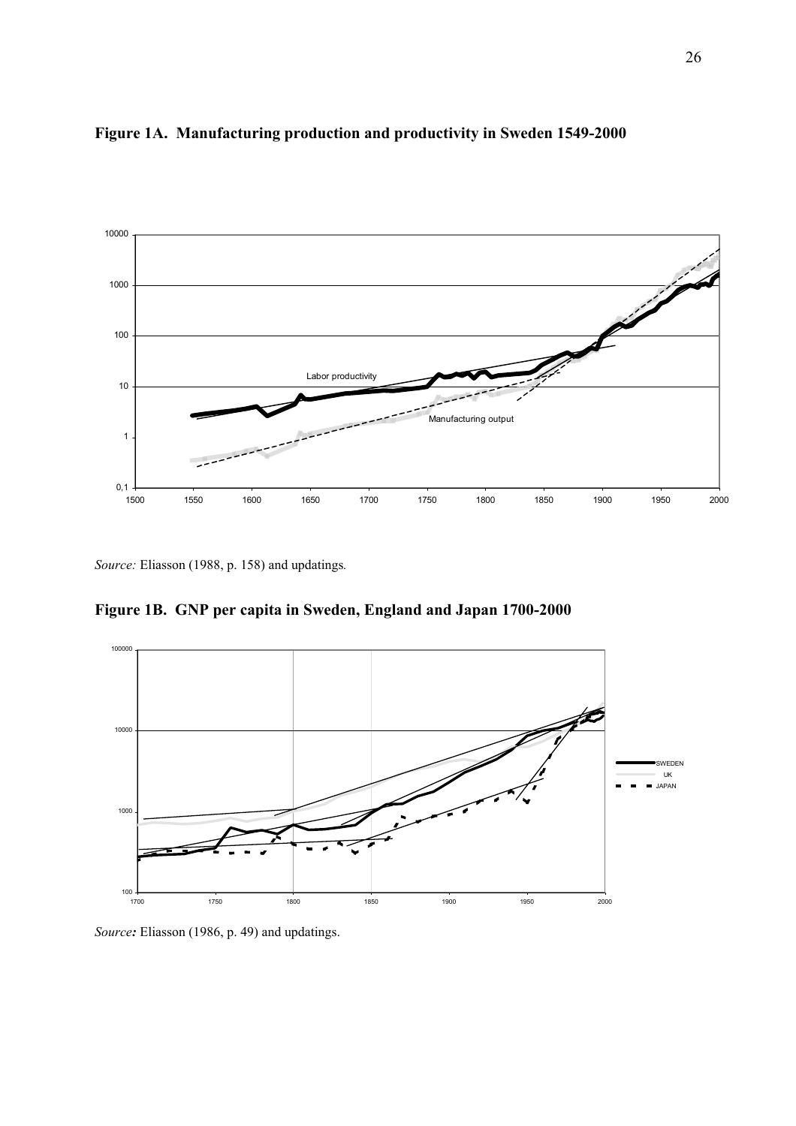



*Source:* Eliasson (1988, p. 158) and updatings*.* 

**Figure 1B. GNP per capita in Sweden, England and Japan 1700-2000** 



*Source:* Eliasson (1986, p. 49) and updatings.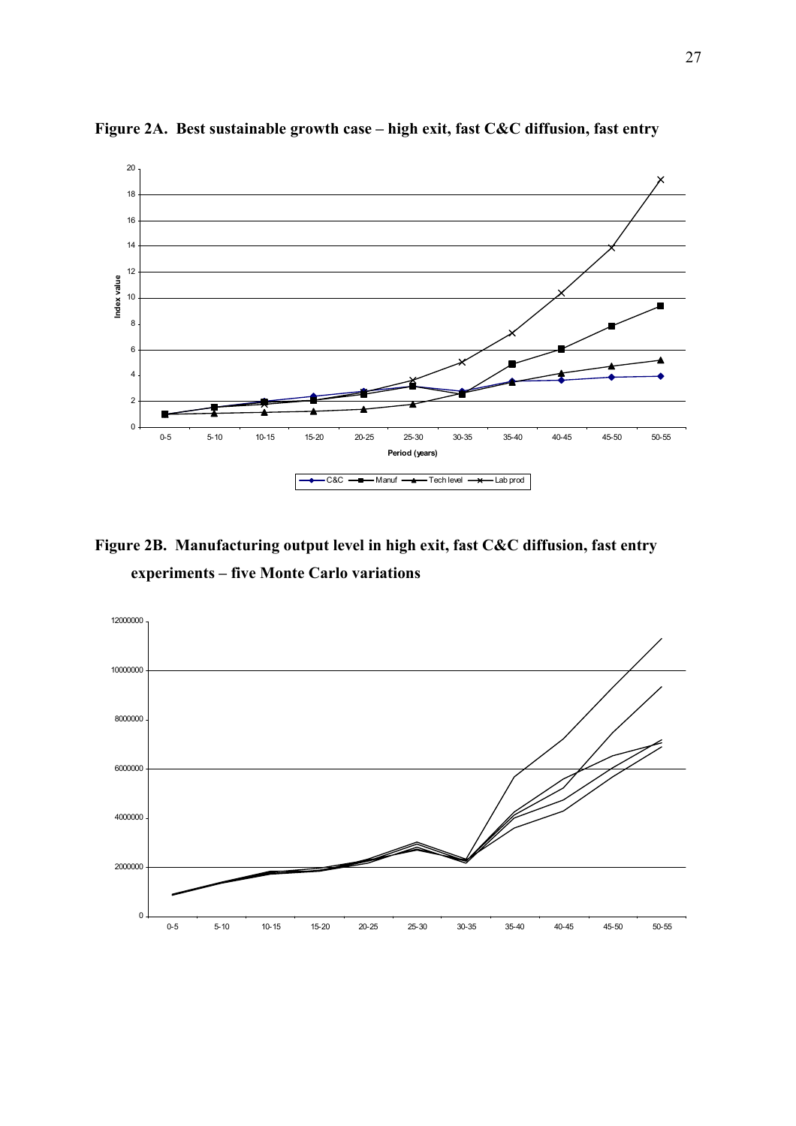

**Figure 2A. Best sustainable growth case – high exit, fast C&C diffusion, fast entry** 

**Figure 2B. Manufacturing output level in high exit, fast C&C diffusion, fast entry experiments – five Monte Carlo variations** 

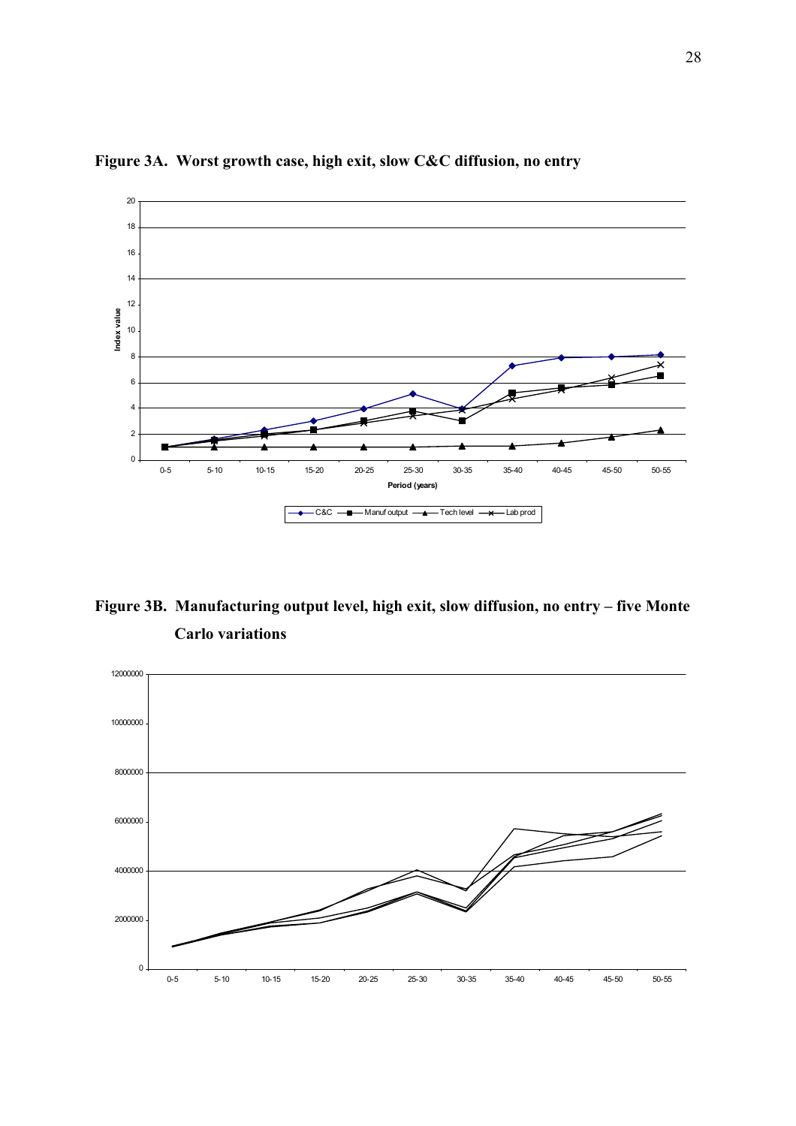

**Figure 3A. Worst growth case, high exit, slow C&C diffusion, no entry** 

**Figure 3B. Manufacturing output level, high exit, slow diffusion, no entry – five Monte Carlo variations** 

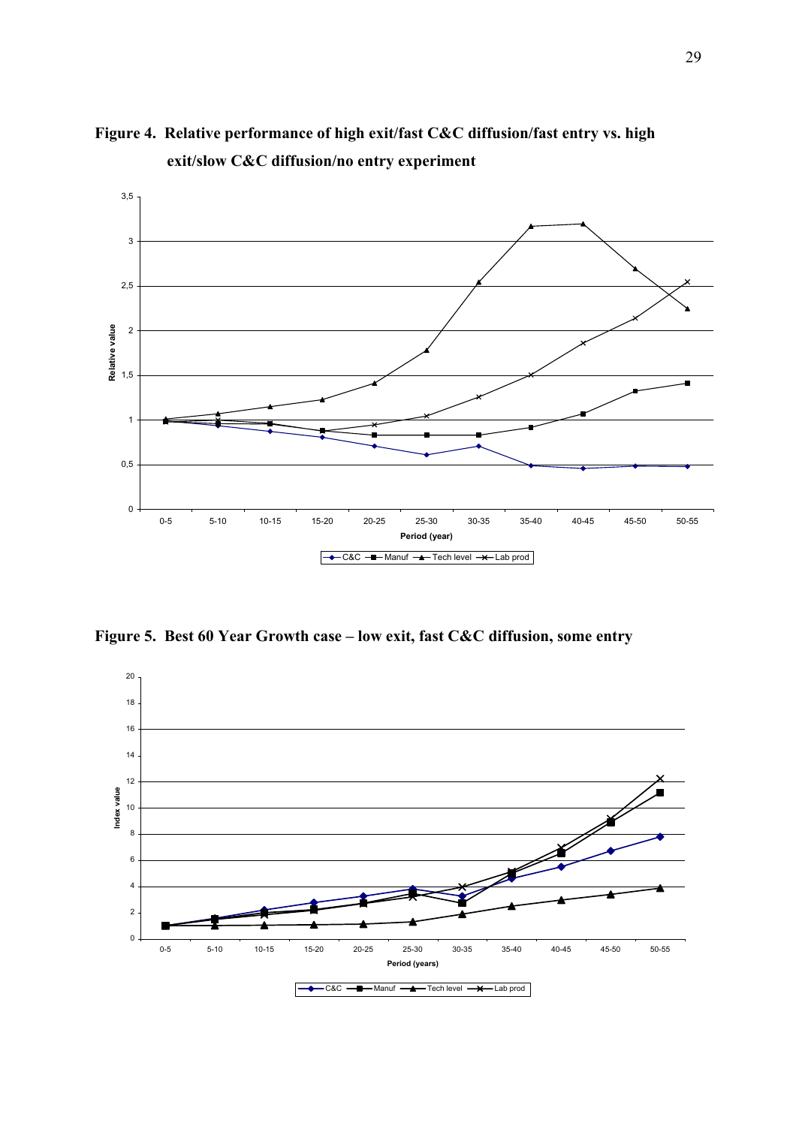

**Figure 4. Relative performance of high exit/fast C&C diffusion/fast entry vs. high exit/slow C&C diffusion/no entry experiment** 

**Figure 5. Best 60 Year Growth case – low exit, fast C&C diffusion, some entry** 

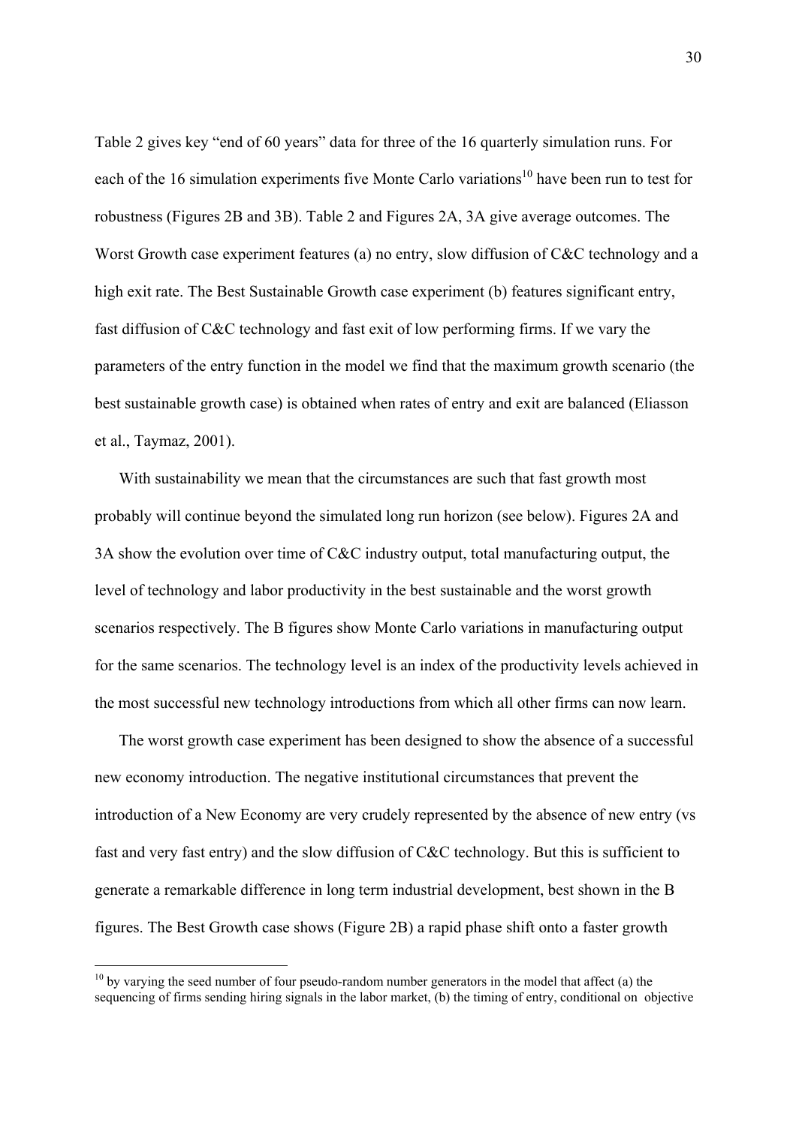<span id="page-30-0"></span>Table 2 gives key "end of 60 years" data for three of the 16 quarterly simulation runs. For each of the 16 simulation experiments five Monte Carlo variations<sup>10</sup> have been run to test for robustness (Figures 2B and 3B). Table 2 and Figures 2A, 3A give average outcomes. The Worst Growth case experiment features (a) no entry, slow diffusion of C&C technology and a high exit rate. The Best Sustainable Growth case experiment (b) features significant entry, fast diffusion of C&C technology and fast exit of low performing firms. If we vary the parameters of the entry function in the model we find that the maximum growth scenario (the best sustainable growth case) is obtained when rates of entry and exit are balanced (Eliasson et al., Taymaz, 2001).

 With sustainability we mean that the circumstances are such that fast growth most probably will continue beyond the simulated long run horizon (see below). Figures 2A and 3A show the evolution over time of C&C industry output, total manufacturing output, the level of technology and labor productivity in the best sustainable and the worst growth scenarios respectively. The B figures show Monte Carlo variations in manufacturing output for the same scenarios. The technology level is an index of the productivity levels achieved in the most successful new technology introductions from which all other firms can now learn.

 The worst growth case experiment has been designed to show the absence of a successful new economy introduction. The negative institutional circumstances that prevent the introduction of a New Economy are very crudely represented by the absence of new entry (vs fast and very fast entry) and the slow diffusion of C&C technology. But this is sufficient to generate a remarkable difference in long term industrial development, best shown in the B figures. The Best Growth case shows (Figure 2B) a rapid phase shift onto a faster growth

 $10$  by varying the seed number of four pseudo-random number generators in the model that affect (a) the sequencing of firms sending hiring signals in the labor market, (b) the timing of entry, conditional on objective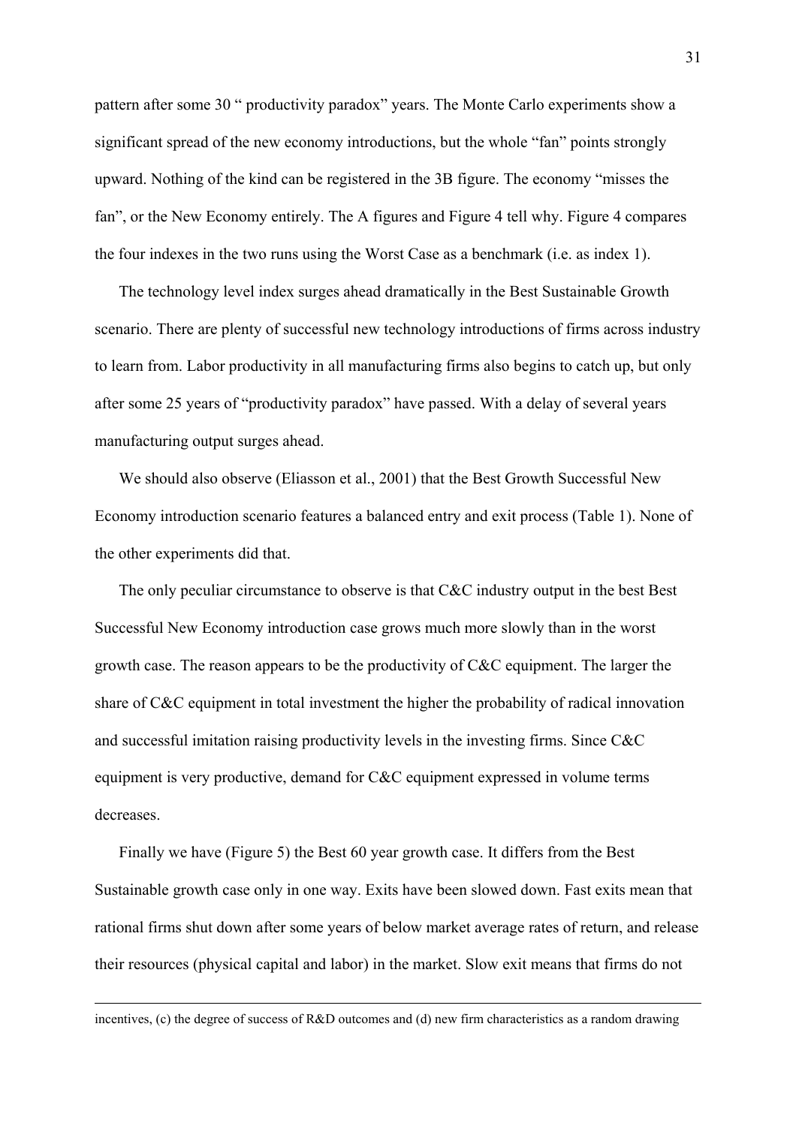pattern after some 30 " productivity paradox" years. The Monte Carlo experiments show a significant spread of the new economy introductions, but the whole "fan" points strongly upward. Nothing of the kind can be registered in the 3B figure. The economy "misses the fan", or the New Economy entirely. The A figures and Figure 4 tell why. Figure 4 compares the four indexes in the two runs using the Worst Case as a benchmark (i.e. as index 1).

 The technology level index surges ahead dramatically in the Best Sustainable Growth scenario. There are plenty of successful new technology introductions of firms across industry to learn from. Labor productivity in all manufacturing firms also begins to catch up, but only after some 25 years of "productivity paradox" have passed. With a delay of several years manufacturing output surges ahead.

 We should also observe (Eliasson et al., 2001) that the Best Growth Successful New Economy introduction scenario features a balanced entry and exit process (Table 1). None of the other experiments did that.

 The only peculiar circumstance to observe is that C&C industry output in the best Best Successful New Economy introduction case grows much more slowly than in the worst growth case. The reason appears to be the productivity of C&C equipment. The larger the share of C&C equipment in total investment the higher the probability of radical innovation and successful imitation raising productivity levels in the investing firms. Since C&C equipment is very productive, demand for C&C equipment expressed in volume terms decreases.

 Finally we have (Figure 5) the Best 60 year growth case. It differs from the Best Sustainable growth case only in one way. Exits have been slowed down. Fast exits mean that rational firms shut down after some years of below market average rates of return, and release their resources (physical capital and labor) in the market. Slow exit means that firms do not

incentives, (c) the degree of success of R&D outcomes and (d) new firm characteristics as a random drawing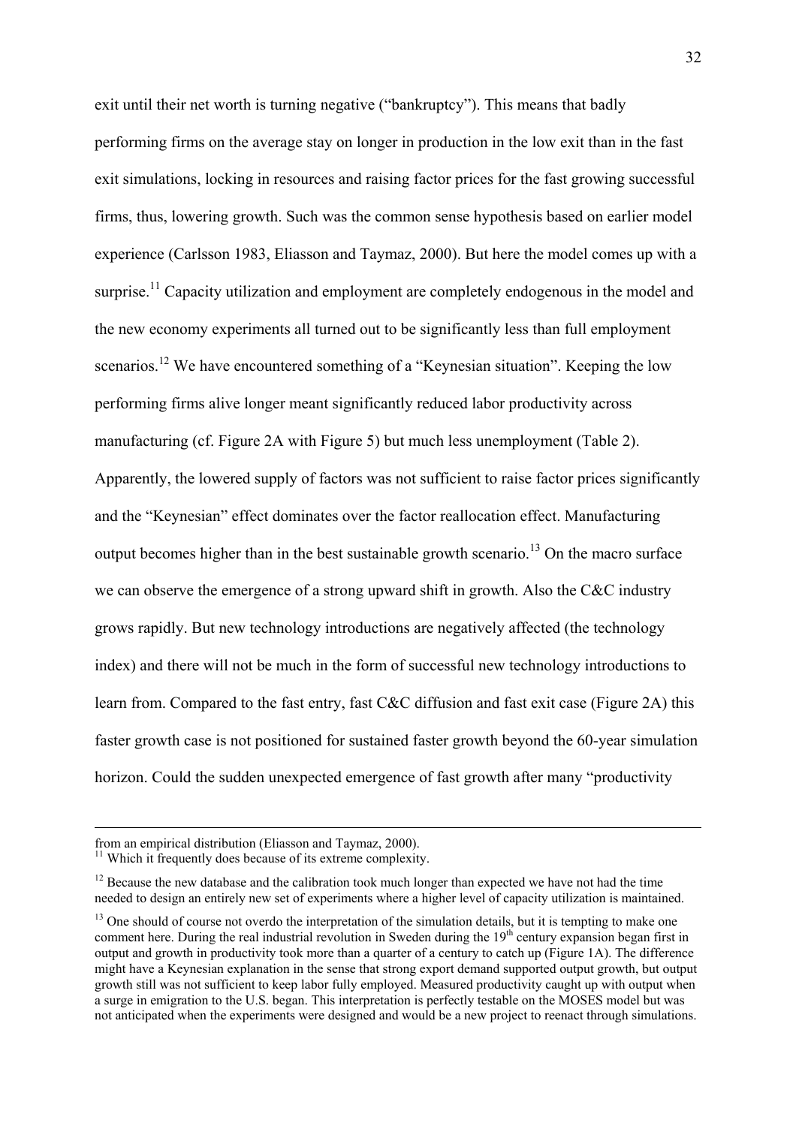exit until their net worth is turning negative ("bankruptcy"). This means that badly performing firms on the average stay on longer in production in the low exit than in the fast exit simulations, locking in resources and raising factor prices for the fast growing successful firms, thus, lowering growth. Such was the common sense hypothesis based on earlier model experience (Carlsson 1983, Eliasson and Taymaz, 2000). But here the model comes up with a surprise.<sup>11</sup> Capacity utilization and employment are completely endogenous in the model and the new economy experiments all turned out to be significantly less than full employment scenarios.<sup>12</sup> We have encountered something of a "Keynesian situation". Keeping the low performing firms alive longer meant significantly reduced labor productivity across manufacturing (cf. Figure 2A with Figure 5) but much less unemployment (Table 2). Apparently, the lowered supply of factors was not sufficient to raise factor prices significantly and the "Keynesian" effect dominates over the factor reallocation effect. Manufacturing output becomes higher than in the best sustainable growth scenario.<sup>13</sup> On the macro surface we can observe the emergence of a strong upward shift in growth. Also the C&C industry grows rapidly. But new technology introductions are negatively affected (the technology index) and there will not be much in the form of successful new technology introductions to learn from. Compared to the fast entry, fast C&C diffusion and fast exit case (Figure 2A) this faster growth case is not positioned for sustained faster growth beyond the 60-year simulation horizon. Could the sudden unexpected emergence of fast growth after many "productivity

from an empirical distribution (Eliasson and Taymaz, 2000).

<span id="page-32-0"></span><sup>&</sup>lt;sup>11</sup> Which it frequently does because of its extreme complexity.

<span id="page-32-1"></span><sup>&</sup>lt;sup>12</sup> Because the new database and the calibration took much longer than expected we have not had the time needed to design an entirely new set of experiments where a higher level of capacity utilization is maintained.

<span id="page-32-2"></span><sup>&</sup>lt;sup>13</sup> One should of course not overdo the interpretation of the simulation details, but it is tempting to make one comment here. During the real industrial revolution in Sweden during the  $19<sup>th</sup>$  century expansion began first in output and growth in productivity took more than a quarter of a century to catch up (Figure 1A). The difference might have a Keynesian explanation in the sense that strong export demand supported output growth, but output growth still was not sufficient to keep labor fully employed. Measured productivity caught up with output when a surge in emigration to the U.S. began. This interpretation is perfectly testable on the MOSES model but was not anticipated when the experiments were designed and would be a new project to reenact through simulations.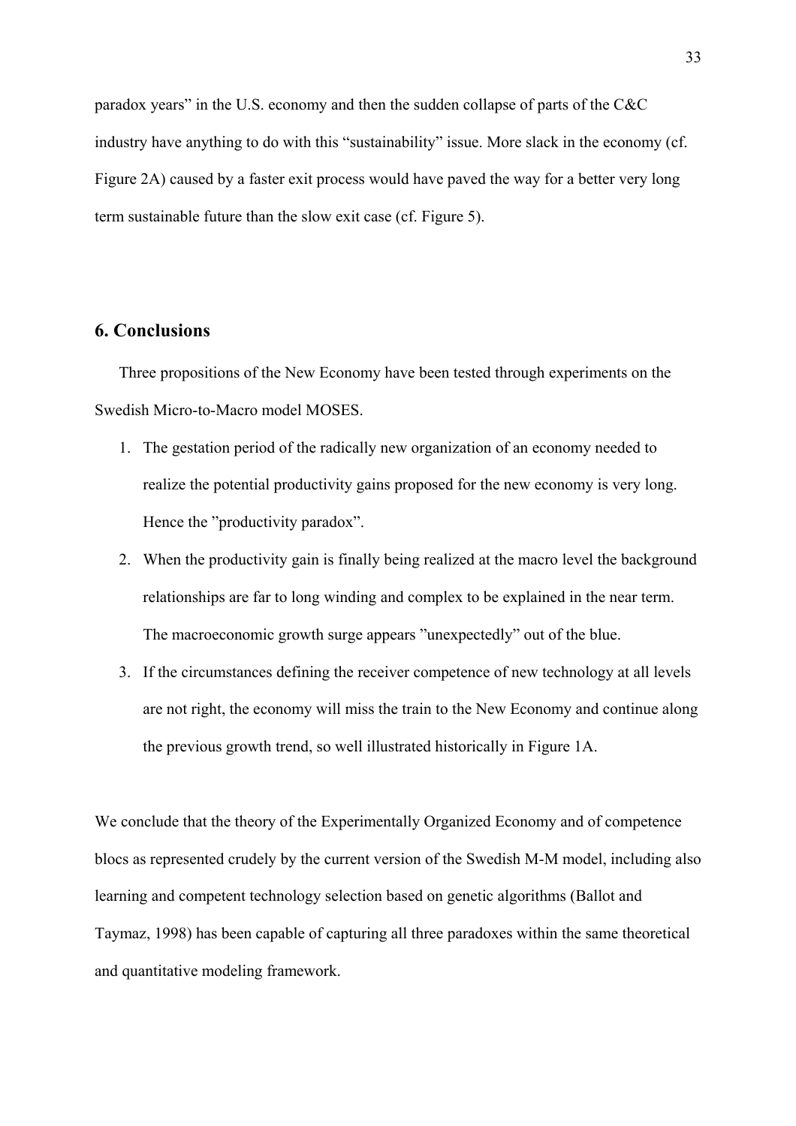paradox years" in the U.S. economy and then the sudden collapse of parts of the C&C industry have anything to do with this "sustainability" issue. More slack in the economy (cf. Figure 2A) caused by a faster exit process would have paved the way for a better very long term sustainable future than the slow exit case (cf. Figure 5).

# **6. Conclusions**

 Three propositions of the New Economy have been tested through experiments on the Swedish Micro-to-Macro model MOSES.

- 1. The gestation period of the radically new organization of an economy needed to realize the potential productivity gains proposed for the new economy is very long. Hence the "productivity paradox".
- 2. When the productivity gain is finally being realized at the macro level the background relationships are far to long winding and complex to be explained in the near term. The macroeconomic growth surge appears "unexpectedly" out of the blue.
- 3. If the circumstances defining the receiver competence of new technology at all levels are not right, the economy will miss the train to the New Economy and continue along the previous growth trend, so well illustrated historically in Figure 1A.

We conclude that the theory of the Experimentally Organized Economy and of competence blocs as represented crudely by the current version of the Swedish M-M model, including also learning and competent technology selection based on genetic algorithms (Ballot and Taymaz, 1998) has been capable of capturing all three paradoxes within the same theoretical and quantitative modeling framework.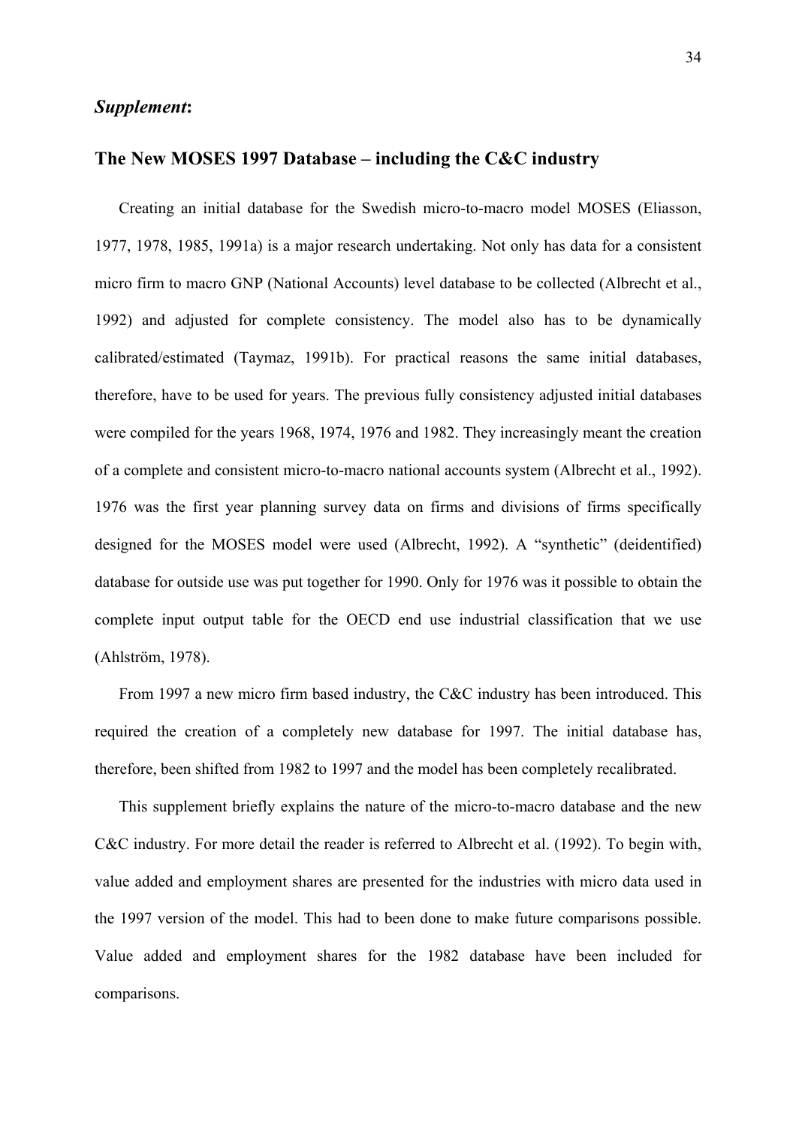## *Supplement***:**

# **The New MOSES 1997 Database – including the C&C industry**

 Creating an initial database for the Swedish micro-to-macro model MOSES (Eliasson, 1977, 1978, 1985, 1991a) is a major research undertaking. Not only has data for a consistent micro firm to macro GNP (National Accounts) level database to be collected (Albrecht et al., 1992) and adjusted for complete consistency. The model also has to be dynamically calibrated/estimated (Taymaz, 1991b). For practical reasons the same initial databases, therefore, have to be used for years. The previous fully consistency adjusted initial databases were compiled for the years 1968, 1974, 1976 and 1982. They increasingly meant the creation of a complete and consistent micro-to-macro national accounts system (Albrecht et al., 1992). 1976 was the first year planning survey data on firms and divisions of firms specifically designed for the MOSES model were used (Albrecht, 1992). A "synthetic" (deidentified) database for outside use was put together for 1990. Only for 1976 was it possible to obtain the complete input output table for the OECD end use industrial classification that we use (Ahlström, 1978).

 From 1997 a new micro firm based industry, the C&C industry has been introduced. This required the creation of a completely new database for 1997. The initial database has, therefore, been shifted from 1982 to 1997 and the model has been completely recalibrated.

 This supplement briefly explains the nature of the micro-to-macro database and the new C&C industry. For more detail the reader is referred to Albrecht et al. (1992). To begin with, value added and employment shares are presented for the industries with micro data used in the 1997 version of the model. This had to been done to make future comparisons possible. Value added and employment shares for the 1982 database have been included for comparisons.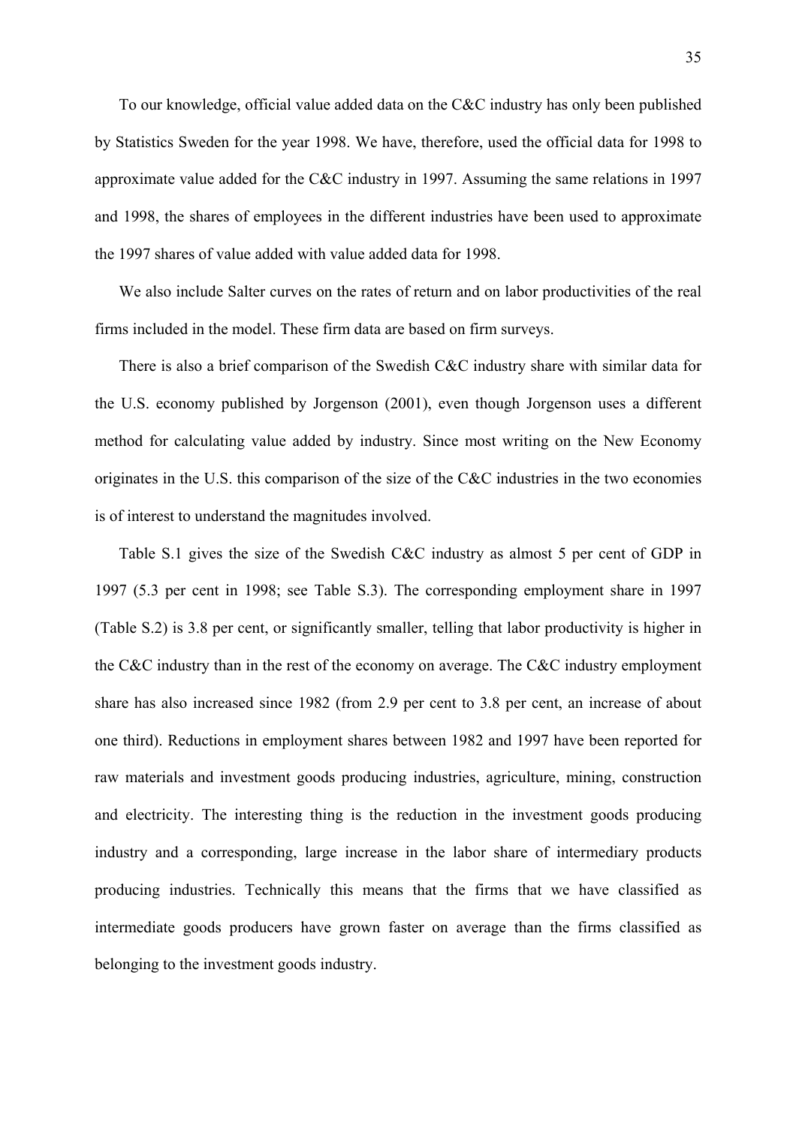To our knowledge, official value added data on the C&C industry has only been published by Statistics Sweden for the year 1998. We have, therefore, used the official data for 1998 to approximate value added for the C&C industry in 1997. Assuming the same relations in 1997 and 1998, the shares of employees in the different industries have been used to approximate the 1997 shares of value added with value added data for 1998.

 We also include Salter curves on the rates of return and on labor productivities of the real firms included in the model. These firm data are based on firm surveys.

 There is also a brief comparison of the Swedish C&C industry share with similar data for the U.S. economy published by Jorgenson (2001), even though Jorgenson uses a different method for calculating value added by industry. Since most writing on the New Economy originates in the U.S. this comparison of the size of the C&C industries in the two economies is of interest to understand the magnitudes involved.

 Table S.1 gives the size of the Swedish C&C industry as almost 5 per cent of GDP in 1997 (5.3 per cent in 1998; see Table S.3). The corresponding employment share in 1997 (Table S.2) is 3.8 per cent, or significantly smaller, telling that labor productivity is higher in the C&C industry than in the rest of the economy on average. The C&C industry employment share has also increased since 1982 (from 2.9 per cent to 3.8 per cent, an increase of about one third). Reductions in employment shares between 1982 and 1997 have been reported for raw materials and investment goods producing industries, agriculture, mining, construction and electricity. The interesting thing is the reduction in the investment goods producing industry and a corresponding, large increase in the labor share of intermediary products producing industries. Technically this means that the firms that we have classified as intermediate goods producers have grown faster on average than the firms classified as belonging to the investment goods industry.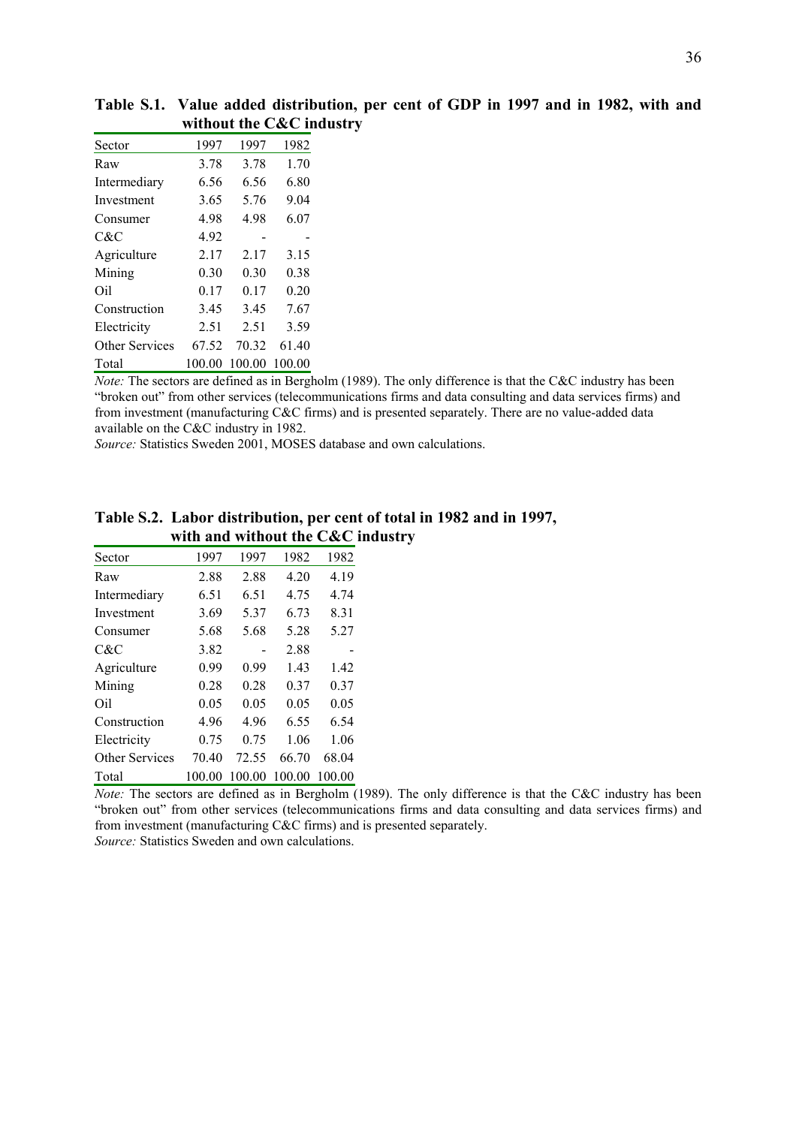| Sector         | 1997   | 1997   | 1982   |
|----------------|--------|--------|--------|
| Raw            | 3.78   | 3.78   | 1.70   |
| Intermediary   | 6.56   | 6.56   | 6.80   |
| Investment     | 3.65   | 5.76   | 9.04   |
| Consumer       | 4.98   | 4.98   | 6.07   |
| C&C            | 4.92   |        |        |
| Agriculture    | 2.17   | 2.17   | 3.15   |
| Mining         | 0.30   | 0.30   | 0.38   |
| Oil            | 0.17   | 0.17   | 0.20   |
| Construction   | 3.45   | 3.45   | 7.67   |
| Electricity    | 2.51   | 2.51   | 3.59   |
| Other Services | 67.52  | 70.32  | 61.40  |
| Total          | 100.00 | 100.00 | 100.00 |

**Table S.1. Value added distribution, per cent of GDP in 1997 and in 1982, with and without the C&C industry** 

*Note:* The sectors are defined as in Bergholm (1989). The only difference is that the C&C industry has been "broken out" from other services (telecommunications firms and data consulting and data services firms) and from investment (manufacturing C&C firms) and is presented separately. There are no value-added data available on the C&C industry in 1982.

*Source:* Statistics Sweden 2001, MOSES database and own calculations.

|                | www.anu |        | wiuwut unt | $\mathbf{v}$ v $\mathbf{v}$ |
|----------------|---------|--------|------------|-----------------------------|
| Sector         | 1997    | 1997   | 1982       | 1982                        |
| Raw            | 2.88    | 2.88   | 4.20       | 4.19                        |
| Intermediary   | 6.51    | 6.51   | 4.75       | 4.74                        |
| Investment     | 3.69    | 5.37   | 6.73       | 8.31                        |
| Consumer       | 5.68    | 5.68   | 5.28       | 5.27                        |
| C&C            | 3.82    |        | 2.88       |                             |
| Agriculture    | 0.99    | 0.99   | 1.43       | 1.42                        |
| Mining         | 0.28    | 0.28   | 0.37       | 0.37                        |
| Oil            | 0.05    | 0.05   | 0.05       | 0.05                        |
| Construction   | 4.96    | 4.96   | 6.55       | 6.54                        |
| Electricity    | 0.75    | 0.75   | 1.06       | 1.06                        |
| Other Services | 70.40   | 72.55  | 66.70      | 68.04                       |
| Total          | 100.00  | 100.00 | 100.00     | 100.00                      |

**Table S.2. Labor distribution, per cent of total in 1982 and in 1997, with and without the C&C industry** 

*Note:* The sectors are defined as in Bergholm (1989). The only difference is that the C&C industry has been "broken out" from other services (telecommunications firms and data consulting and data services firms) and from investment (manufacturing C&C firms) and is presented separately.

*Source:* Statistics Sweden and own calculations.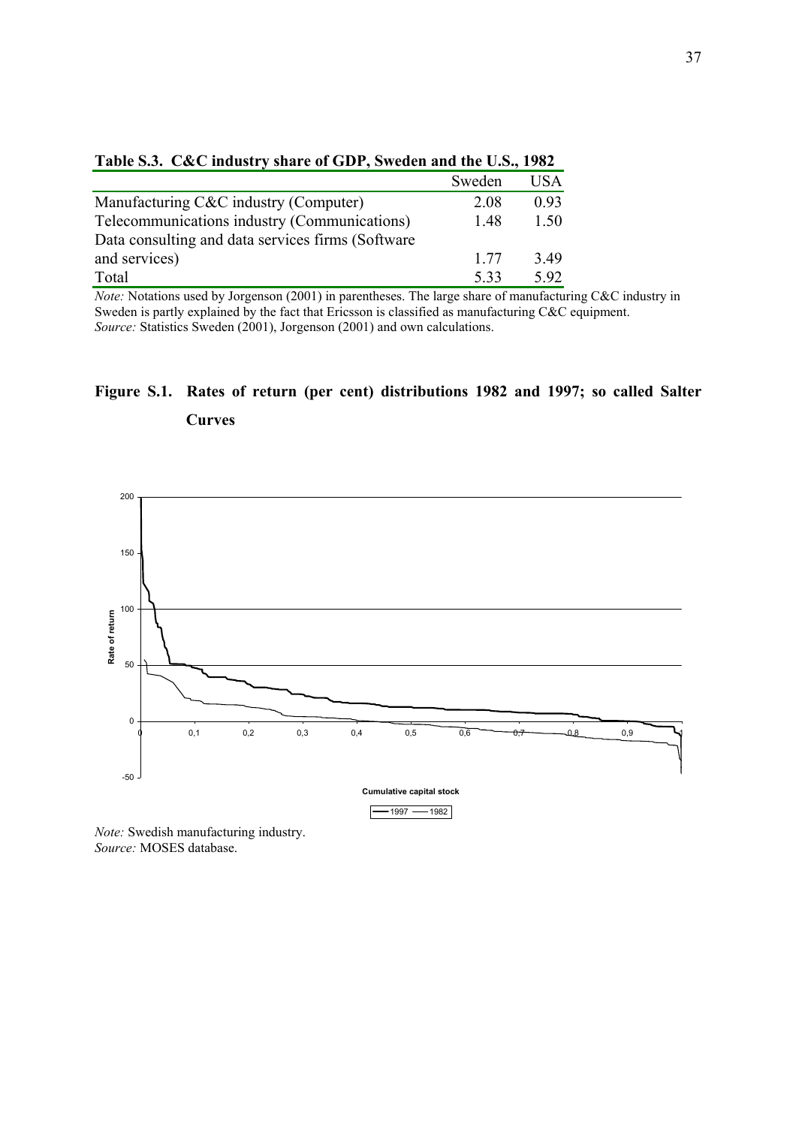|                                                   | Sweden | <b>USA</b> |
|---------------------------------------------------|--------|------------|
| Manufacturing C&C industry (Computer)             | 2.08   | 0.93       |
| Telecommunications industry (Communications)      | 1.48   | 1.50       |
| Data consulting and data services firms (Software |        |            |
| and services)                                     | 1 77   | 3.49       |
| Total                                             | 533    | 5.92       |

|  |  |  | Table S.3. C&C industry share of GDP, Sweden and the U.S., 1982 |  |  |  |
|--|--|--|-----------------------------------------------------------------|--|--|--|
|--|--|--|-----------------------------------------------------------------|--|--|--|

*Note:* Notations used by Jorgenson (2001) in parentheses. The large share of manufacturing C&C industry in Sweden is partly explained by the fact that Ericsson is classified as manufacturing C&C equipment. *Source:* Statistics Sweden (2001), Jorgenson (2001) and own calculations.

# **Figure S.1. Rates of return (per cent) distributions 1982 and 1997; so called Salter Curves**



*Note:* Swedish manufacturing industry. *Source:* MOSES database.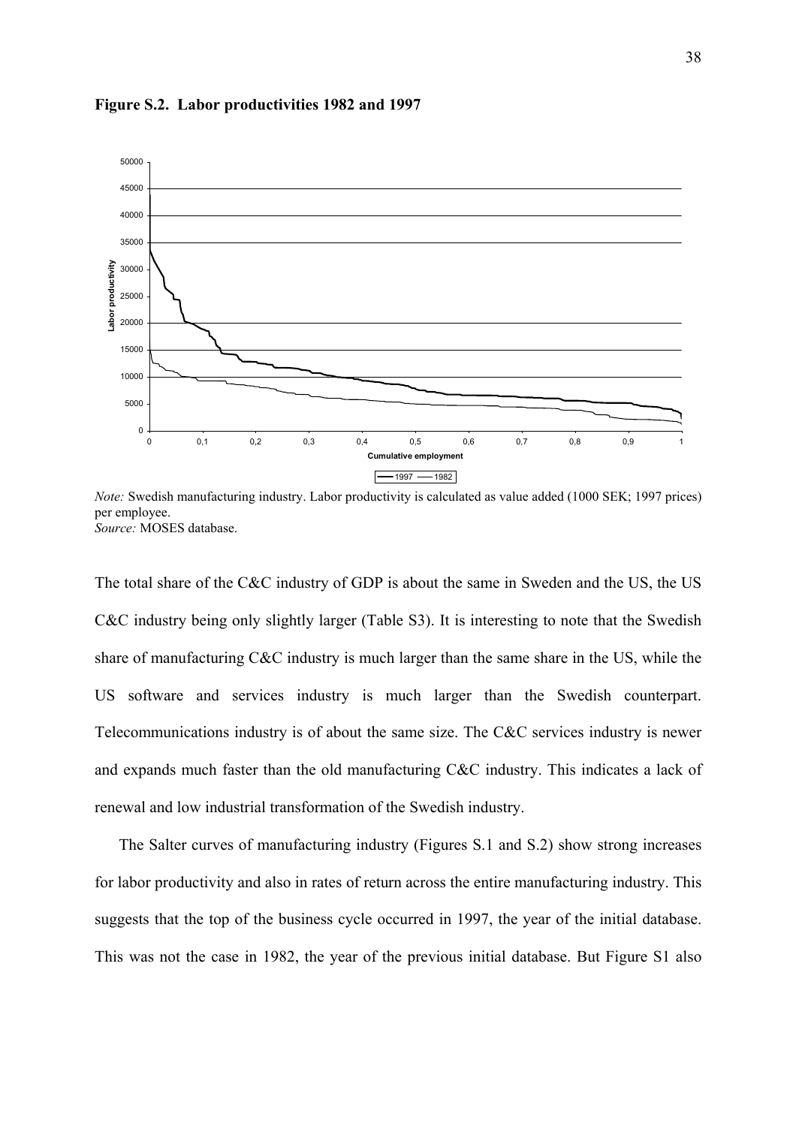

**Figure S.2. Labor productivities 1982 and 1997** 

*Note:* Swedish manufacturing industry. Labor productivity is calculated as value added (1000 SEK; 1997 prices) per employee. *Source:* MOSES database.

The total share of the C&C industry of GDP is about the same in Sweden and the US, the US C&C industry being only slightly larger (Table S3). It is interesting to note that the Swedish share of manufacturing C&C industry is much larger than the same share in the US, while the US software and services industry is much larger than the Swedish counterpart. Telecommunications industry is of about the same size. The C&C services industry is newer and expands much faster than the old manufacturing C&C industry. This indicates a lack of renewal and low industrial transformation of the Swedish industry.

The Salter curves of manufacturing industry (Figures S.1 and S.2) show strong increases for labor productivity and also in rates of return across the entire manufacturing industry. This suggests that the top of the business cycle occurred in 1997, the year of the initial database. This was not the case in 1982, the year of the previous initial database. But Figure S1 also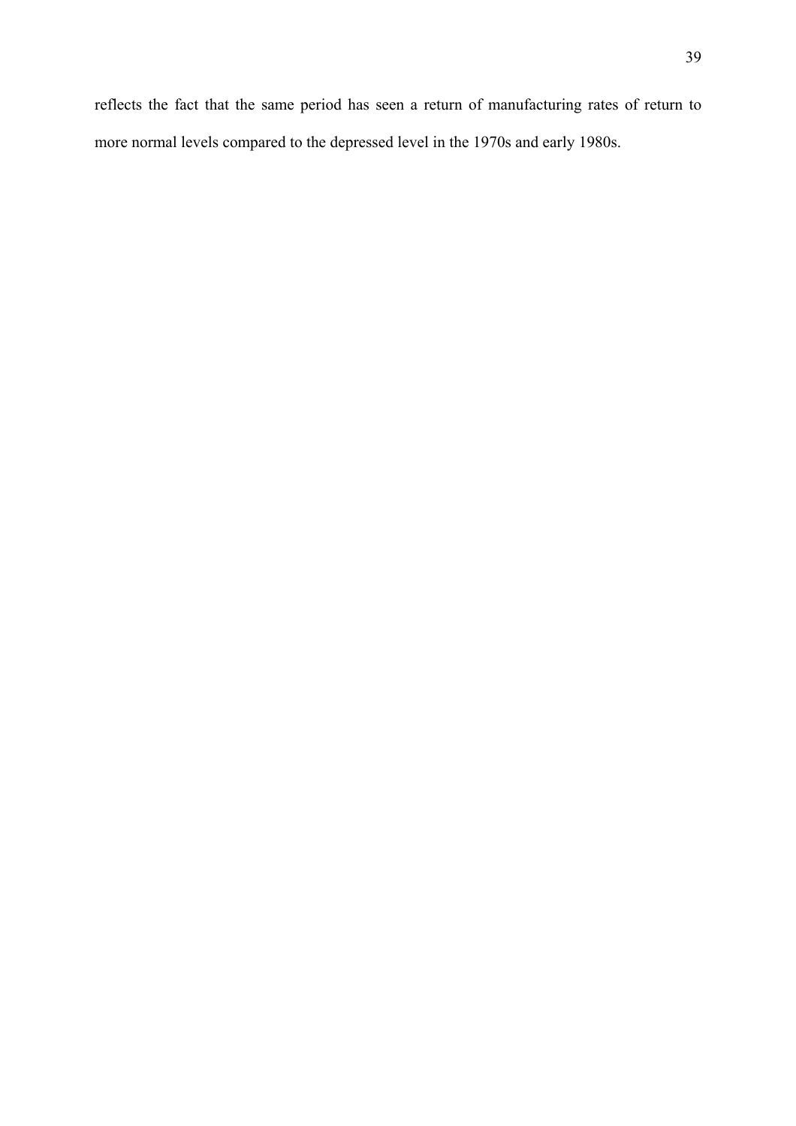reflects the fact that the same period has seen a return of manufacturing rates of return to more normal levels compared to the depressed level in the 1970s and early 1980s.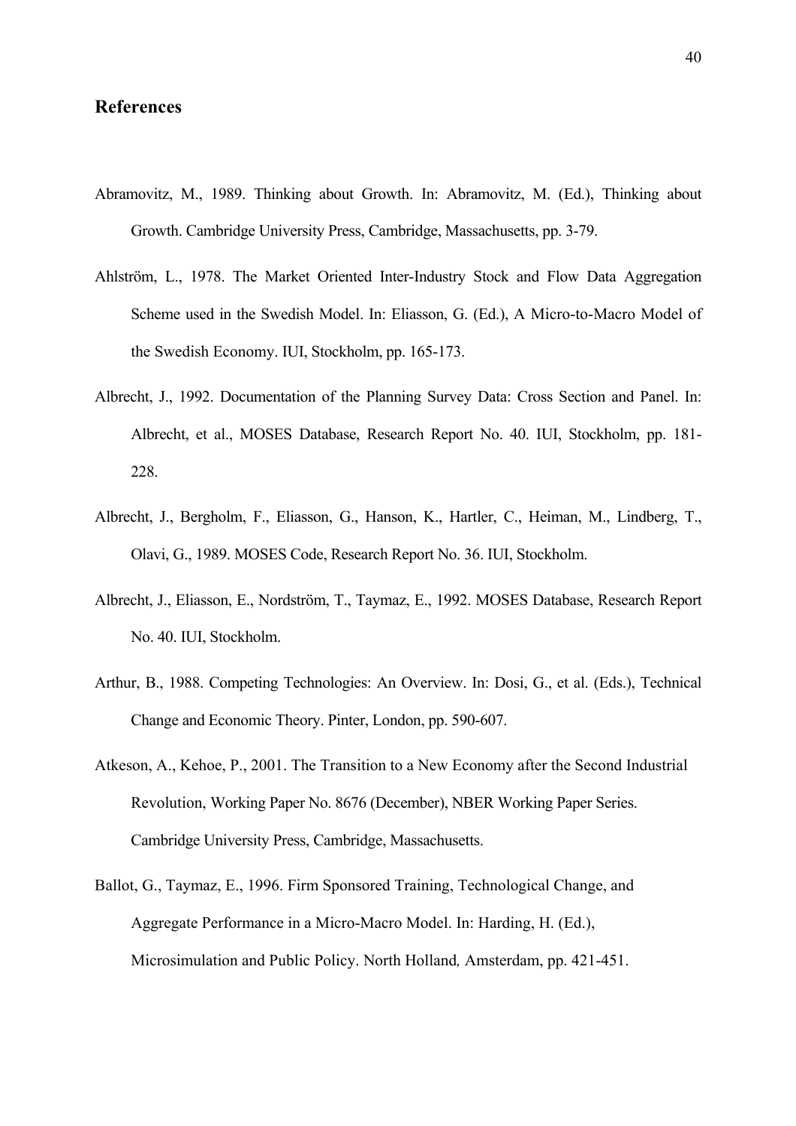### **References**

- Abramovitz, M., 1989. Thinking about Growth. In: Abramovitz, M. (Ed.), Thinking about Growth. Cambridge University Press, Cambridge, Massachusetts, pp. 3-79.
- Ahlström, L., 1978. The Market Oriented Inter-Industry Stock and Flow Data Aggregation Scheme used in the Swedish Model. In: Eliasson, G. (Ed.), A Micro-to-Macro Model of the Swedish Economy. IUI, Stockholm, pp. 165-173.
- Albrecht, J., 1992. Documentation of the Planning Survey Data: Cross Section and Panel. In: Albrecht, et al., MOSES Database, Research Report No. 40. IUI, Stockholm, pp. 181- 228.
- Albrecht, J., Bergholm, F., Eliasson, G., Hanson, K., Hartler, C., Heiman, M., Lindberg, T., Olavi, G., 1989. MOSES Code, Research Report No. 36. IUI, Stockholm.
- Albrecht, J., Eliasson, E., Nordström, T., Taymaz, E., 1992. MOSES Database, Research Report No. 40. IUI, Stockholm.
- Arthur, B., 1988. Competing Technologies: An Overview. In: Dosi, G., et al. (Eds.), Technical Change and Economic Theory. Pinter, London, pp. 590-607.
- Atkeson, A., Kehoe, P., 2001. The Transition to a New Economy after the Second Industrial Revolution, Working Paper No. 8676 (December), NBER Working Paper Series. Cambridge University Press, Cambridge, Massachusetts.
- Ballot, G., Taymaz, E., 1996. Firm Sponsored Training, Technological Change, and Aggregate Performance in a Micro-Macro Model. In: Harding, H. (Ed.), Microsimulation and Public Policy. North Holland*,* Amsterdam, pp. 421-451.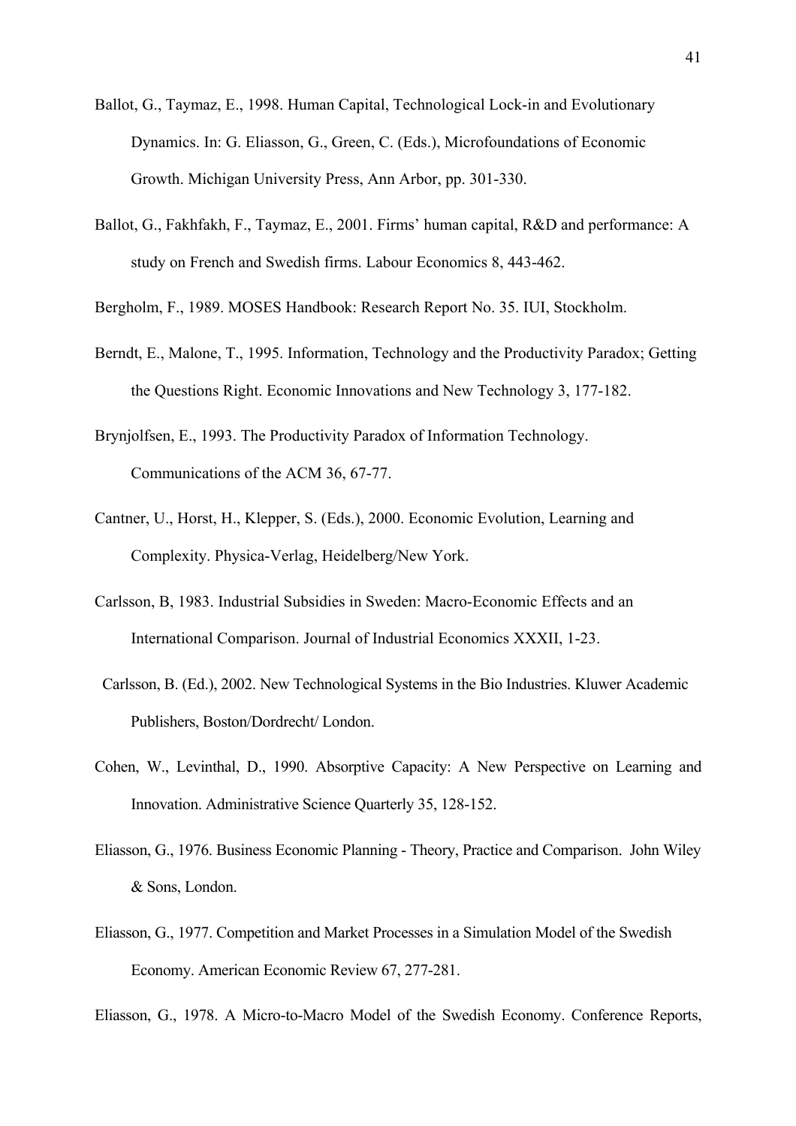- Ballot, G., Taymaz, E., 1998. Human Capital, Technological Lock-in and Evolutionary Dynamics. In: G. Eliasson, G., Green, C. (Eds.), Microfoundations of Economic Growth. Michigan University Press, Ann Arbor, pp. 301-330.
- Ballot, G., Fakhfakh, F., Taymaz, E., 2001. Firms' human capital, R&D and performance: A study on French and Swedish firms. Labour Economics 8, 443-462.
- Bergholm, F., 1989. MOSES Handbook: Research Report No. 35. IUI, Stockholm.
- Berndt, E., Malone, T., 1995. Information, Technology and the Productivity Paradox; Getting the Questions Right. Economic Innovations and New Technology 3, 177-182.
- Brynjolfsen, E., 1993. The Productivity Paradox of Information Technology. Communications of the ACM 36, 67-77.
- Cantner, U., Horst, H., Klepper, S. (Eds.), 2000. Economic Evolution, Learning and Complexity. Physica-Verlag, Heidelberg/New York.
- Carlsson, B, 1983. Industrial Subsidies in Sweden: Macro-Economic Effects and an International Comparison. Journal of Industrial Economics XXXII, 1-23.
- Carlsson, B. (Ed.), 2002. New Technological Systems in the Bio Industries. Kluwer Academic Publishers, Boston/Dordrecht/ London.
- Cohen, W., Levinthal, D., 1990. Absorptive Capacity: A New Perspective on Learning and Innovation. Administrative Science Quarterly 35, 128-152.
- Eliasson, G., 1976. Business Economic Planning Theory, Practice and Comparison. John Wiley & Sons, London.
- Eliasson, G., 1977. Competition and Market Processes in a Simulation Model of the Swedish Economy. American Economic Review 67, 277-281.

Eliasson, G., 1978. A Micro-to-Macro Model of the Swedish Economy. Conference Reports,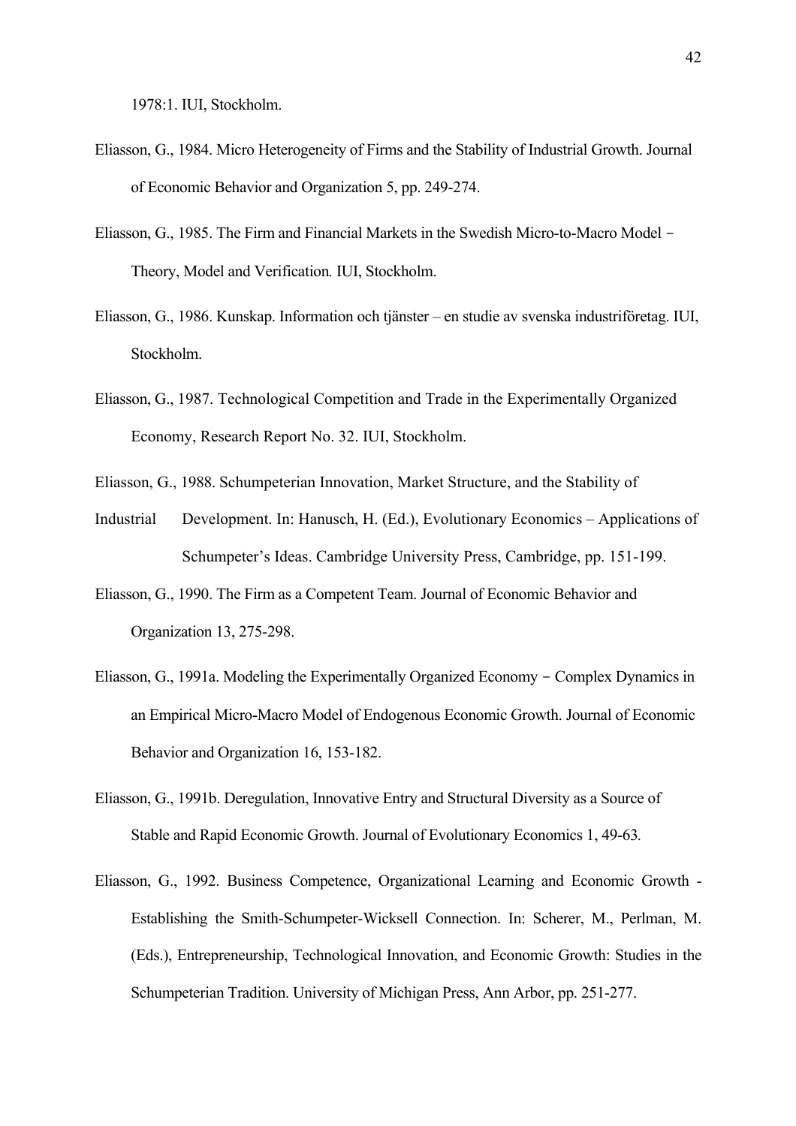- Eliasson, G., 1984. Micro Heterogeneity of Firms and the Stability of Industrial Growth. Journal of Economic Behavior and Organization 5, pp. 249-274.
- Eliasson, G., 1985. The Firm and Financial Markets in the Swedish Micro-to-Macro Model Theory, Model and Verification*.* IUI, Stockholm.
- Eliasson, G., 1986. Kunskap. Information och tjänster en studie av svenska industriföretag. IUI, Stockholm.
- Eliasson, G., 1987. Technological Competition and Trade in the Experimentally Organized Economy, Research Report No. 32. IUI, Stockholm.
- Eliasson, G., 1988. Schumpeterian Innovation, Market Structure, and the Stability of
- Industrial Development. In: Hanusch, H. (Ed.), Evolutionary Economics Applications of Schumpeter's Ideas. Cambridge University Press, Cambridge, pp. 151-199.
- Eliasson, G., 1990. The Firm as a Competent Team. Journal of Economic Behavior and Organization 13, 275-298.
- Eliasson, G., 1991a. Modeling the Experimentally Organized Economy Complex Dynamics in an Empirical Micro-Macro Model of Endogenous Economic Growth. Journal of Economic Behavior and Organization 16, 153-182.
- Eliasson, G., 1991b. Deregulation, Innovative Entry and Structural Diversity as a Source of Stable and Rapid Economic Growth. Journal of Evolutionary Economics 1, 49-63*.*
- Eliasson, G., 1992. Business Competence, Organizational Learning and Economic Growth Establishing the Smith-Schumpeter-Wicksell Connection. In: Scherer, M., Perlman, M. (Eds.), Entrepreneurship, Technological Innovation, and Economic Growth: Studies in the Schumpeterian Tradition. University of Michigan Press, Ann Arbor, pp. 251-277.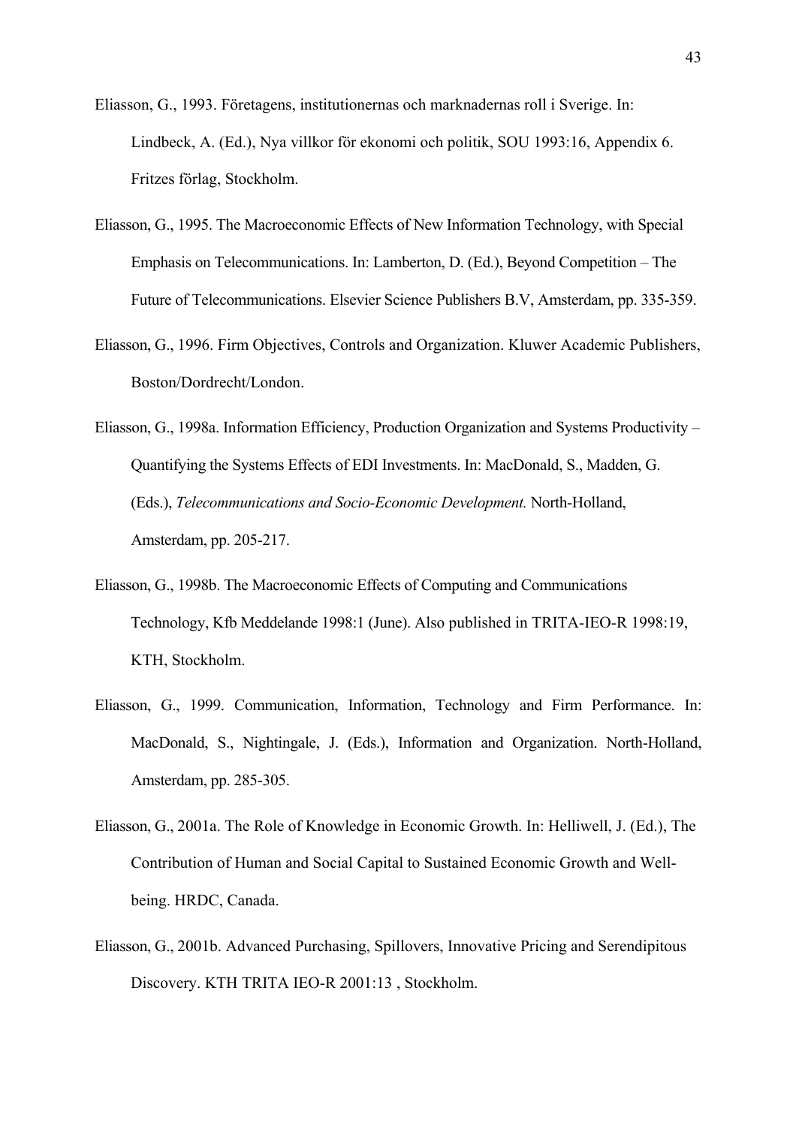- Eliasson, G., 1993. Företagens, institutionernas och marknadernas roll i Sverige. In: Lindbeck, A. (Ed.), Nya villkor för ekonomi och politik, SOU 1993:16, Appendix 6. Fritzes förlag, Stockholm.
- Eliasson, G., 1995. The Macroeconomic Effects of New Information Technology, with Special Emphasis on Telecommunications. In: Lamberton, D. (Ed.), Beyond Competition – The Future of Telecommunications. Elsevier Science Publishers B.V, Amsterdam, pp. 335-359.
- Eliasson, G., 1996. Firm Objectives, Controls and Organization. Kluwer Academic Publishers, Boston/Dordrecht/London.
- Eliasson, G., 1998a. Information Efficiency, Production Organization and Systems Productivity Quantifying the Systems Effects of EDI Investments. In: MacDonald, S., Madden, G. (Eds.), *Telecommunications and Socio-Economic Development.* North-Holland, Amsterdam, pp. 205-217.
- Eliasson, G., 1998b. The Macroeconomic Effects of Computing and Communications Technology, Kfb Meddelande 1998:1 (June). Also published in TRITA-IEO-R 1998:19, KTH, Stockholm.
- Eliasson, G., 1999. Communication, Information, Technology and Firm Performance. In: MacDonald, S., Nightingale, J. (Eds.), Information and Organization. North-Holland, Amsterdam, pp. 285-305.
- Eliasson, G., 2001a. The Role of Knowledge in Economic Growth. In: Helliwell, J. (Ed.), The Contribution of Human and Social Capital to Sustained Economic Growth and Wellbeing. HRDC, Canada.
- Eliasson, G., 2001b. Advanced Purchasing, Spillovers, Innovative Pricing and Serendipitous Discovery. KTH TRITA IEO-R 2001:13 , Stockholm.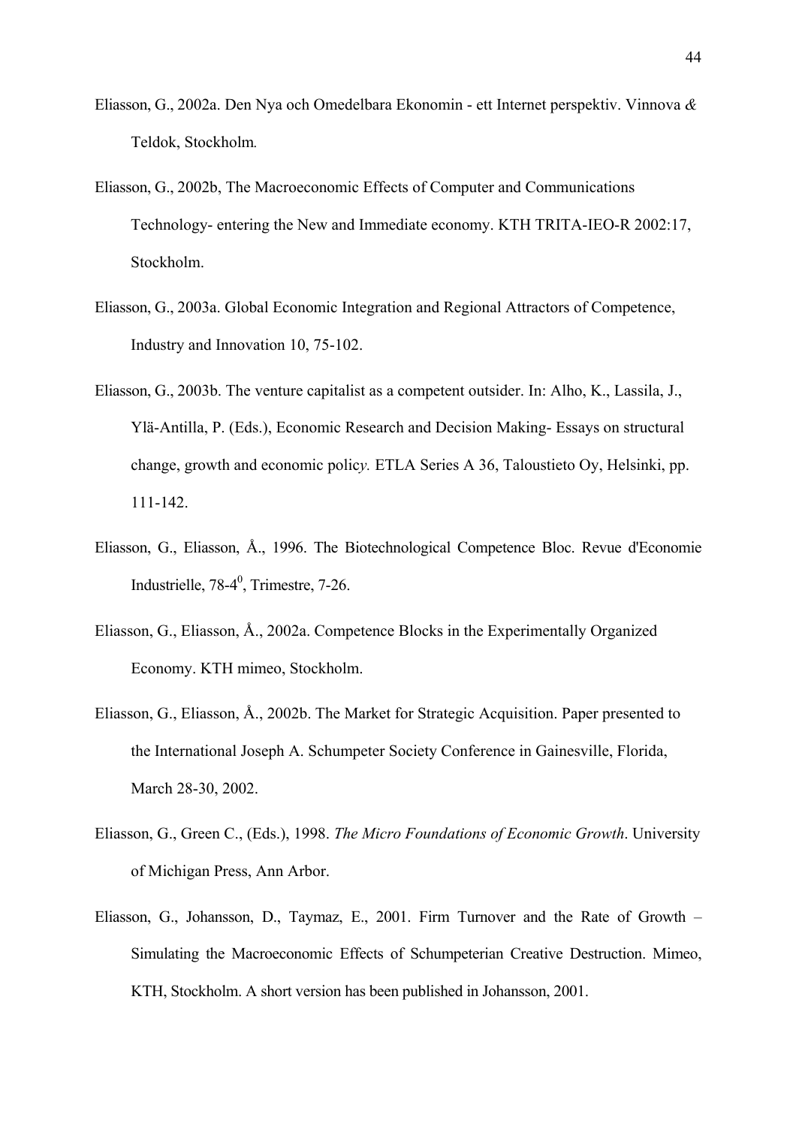- Eliasson, G., 2002a. Den Nya och Omedelbara Ekonomin ett Internet perspektiv. Vinnova *&*  Teldok, Stockholm*.*
- Eliasson, G., 2002b, The Macroeconomic Effects of Computer and Communications Technology- entering the New and Immediate economy. KTH TRITA-IEO-R 2002:17, Stockholm.
- Eliasson, G., 2003a. Global Economic Integration and Regional Attractors of Competence, Industry and Innovation 10, 75-102.
- Eliasson, G., 2003b. The venture capitalist as a competent outsider. In: Alho, K., Lassila, J., Ylä-Antilla, P. (Eds.), Economic Research and Decision Making- Essays on structural change, growth and economic polic*y.* ETLA Series A 36, Taloustieto Oy, Helsinki, pp. 111-142.
- Eliasson, G., Eliasson, Å., 1996. The Biotechnological Competence Bloc. Revue d'Economie Industrielle,  $78-4^0$ , Trimestre,  $7-26$ .
- Eliasson, G., Eliasson, Å., 2002a. Competence Blocks in the Experimentally Organized Economy. KTH mimeo, Stockholm.
- Eliasson, G., Eliasson, Å., 2002b. The Market for Strategic Acquisition. Paper presented to the International Joseph A. Schumpeter Society Conference in Gainesville, Florida, March 28-30, 2002.
- Eliasson, G., Green C., (Eds.), 1998. *The Micro Foundations of Economic Growth*. University of Michigan Press, Ann Arbor.
- Eliasson, G., Johansson, D., Taymaz, E., 2001. Firm Turnover and the Rate of Growth Simulating the Macroeconomic Effects of Schumpeterian Creative Destruction. Mimeo, KTH, Stockholm. A short version has been published in Johansson, 2001.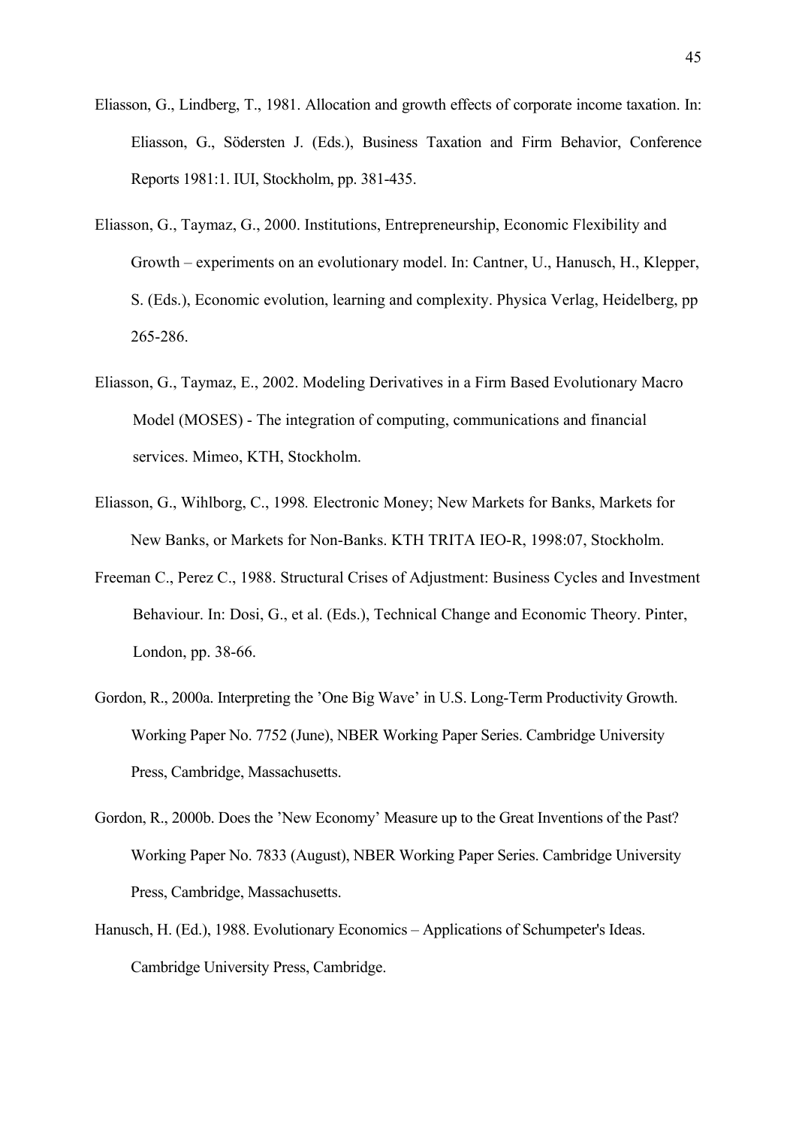- Eliasson, G., Lindberg, T., 1981. Allocation and growth effects of corporate income taxation. In: Eliasson, G., Södersten J. (Eds.), Business Taxation and Firm Behavior, Conference Reports 1981:1. IUI, Stockholm, pp. 381-435.
- Eliasson, G., Taymaz, G., 2000. Institutions, Entrepreneurship, Economic Flexibility and Growth – experiments on an evolutionary model. In: Cantner, U., Hanusch, H., Klepper, S. (Eds.), Economic evolution, learning and complexity. Physica Verlag, Heidelberg, pp 265-286.
- Eliasson, G., Taymaz, E., 2002. Modeling Derivatives in a Firm Based Evolutionary Macro Model (MOSES) - The integration of computing, communications and financial services. Mimeo, KTH, Stockholm.
- Eliasson, G., Wihlborg, C., 1998*.* Electronic Money; New Markets for Banks, Markets for New Banks, or Markets for Non-Banks. KTH TRITA IEO-R, 1998:07, Stockholm.
- Freeman C., Perez C., 1988. Structural Crises of Adjustment: Business Cycles and Investment Behaviour. In: Dosi, G., et al. (Eds.), Technical Change and Economic Theory. Pinter, London, pp. 38-66.
- Gordon, R., 2000a. Interpreting the 'One Big Wave' in U.S. Long-Term Productivity Growth. Working Paper No. 7752 (June), NBER Working Paper Series. Cambridge University Press, Cambridge, Massachusetts.
- Gordon, R., 2000b. Does the 'New Economy' Measure up to the Great Inventions of the Past? Working Paper No. 7833 (August), NBER Working Paper Series. Cambridge University Press, Cambridge, Massachusetts.
- Hanusch, H. (Ed.), 1988. Evolutionary Economics Applications of Schumpeter's Ideas. Cambridge University Press, Cambridge.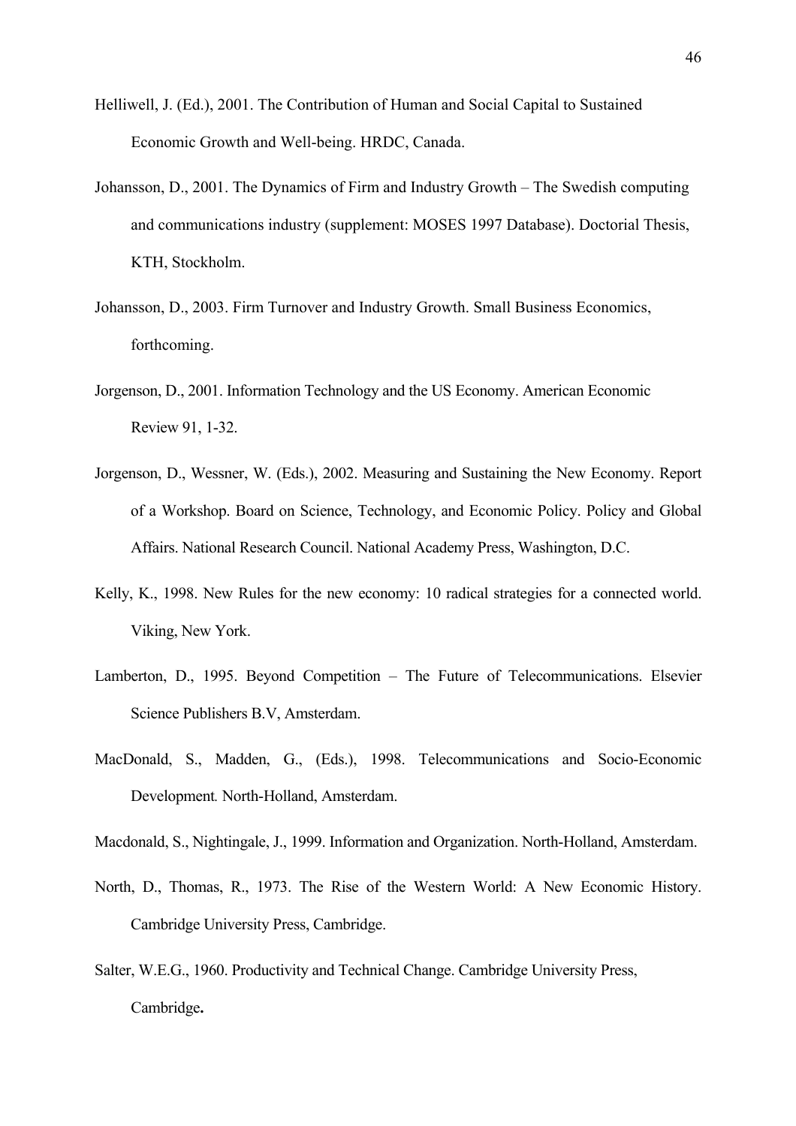- Helliwell, J. (Ed.), 2001. The Contribution of Human and Social Capital to Sustained Economic Growth and Well-being. HRDC, Canada.
- Johansson, D., 2001. The Dynamics of Firm and Industry Growth The Swedish computing and communications industry (supplement: MOSES 1997 Database). Doctorial Thesis, KTH, Stockholm.
- Johansson, D., 2003. Firm Turnover and Industry Growth. Small Business Economics, forthcoming.
- Jorgenson, D., 2001. Information Technology and the US Economy. American Economic Review 91, 1-32.
- Jorgenson, D., Wessner, W. (Eds.), 2002. Measuring and Sustaining the New Economy. Report of a Workshop. Board on Science, Technology, and Economic Policy. Policy and Global Affairs. National Research Council. National Academy Press, Washington, D.C.
- Kelly, K., 1998. New Rules for the new economy: 10 radical strategies for a connected world. Viking, New York.
- Lamberton, D., 1995. Beyond Competition The Future of Telecommunications. Elsevier Science Publishers B.V, Amsterdam.
- MacDonald, S., Madden, G., (Eds.), 1998. Telecommunications and Socio-Economic Development*.* North-Holland, Amsterdam.
- Macdonald, S., Nightingale, J., 1999. Information and Organization. North-Holland, Amsterdam.
- North, D., Thomas, R., 1973. The Rise of the Western World: A New Economic History. Cambridge University Press, Cambridge.
- Salter, W.E.G., 1960. Productivity and Technical Change. Cambridge University Press, Cambridge**.**